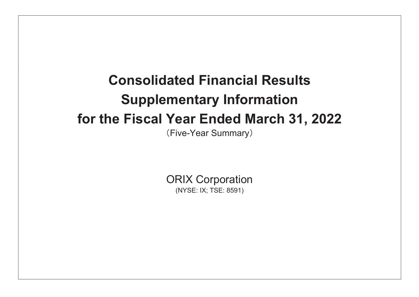# **Consolidated Financial Results Supplementary Information** for the Fiscal Year Ended March 31, 2022

(Five-Year Summary)

**ORIX Corporation** (NYSE: IX; TSE: 8591)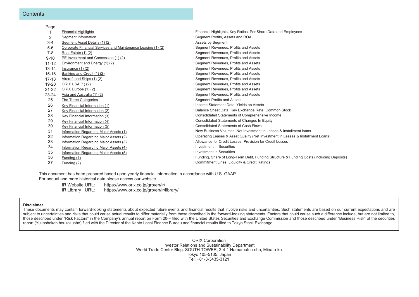#### Contents

| Page      |                                                              |                                                                                            |
|-----------|--------------------------------------------------------------|--------------------------------------------------------------------------------------------|
|           | <b>Financial Highlights</b>                                  | : Financial Highlights, Key Ratios, Per Share Data and Employees                           |
| 2         | Segment Information                                          | : Segment Profits, Assets and ROA                                                          |
| $3 - 4$   | Segment Asset Details (1) (2)                                | : Assets by Segment                                                                        |
| $5-6$     | Corporate Financial Services and Maintenance Leasing (1) (2) | : Segment Revenues, Profits and Assets                                                     |
| $7 - 8$   | Real Estate (1)(2)                                           | : Segment Revenues, Profits and Assets                                                     |
| $9 - 10$  | PE Investment and Concession (1)(2)                          | : Segment Revenues, Profits and Assets                                                     |
| $11 - 12$ | Environment and Energy (1) (2)                               | : Segment Revenues, Profits and Assets                                                     |
| $13 - 14$ | Insurance $(1)$ $(2)$                                        | : Segment Revenues, Profits and Assets                                                     |
| $15 - 16$ | Banking and Credit (1) (2)                                   | : Segment Revenues, Profits and Assets                                                     |
| $17 - 18$ | Aircraft and Ships (1) (2)                                   | : Segment Revenues, Profits and Assets                                                     |
| 19-20     | ORIX USA (1) (2)                                             | : Segment Revenues, Profits and Assets                                                     |
| $21 - 22$ | ORIX Europe (1) (2)                                          | : Segment Revenues, Profits and Assets                                                     |
| $23 - 24$ | Asia and Australia (1) (2)                                   | : Segment Revenues, Profits and Assets                                                     |
| 25        | The Three Categories                                         | : Segment Profits and Assets                                                               |
| 26        | Key Financial Information (1)                                | : Income Statement Data, Yields on Assets                                                  |
| 27        | Key Financial Information (2)                                | : Balance Sheet Data, Key Exchange Rate, Common Stock                                      |
| 28        | Key Financial Information (3)                                | : Consolidated Statements of Comprehensive Income                                          |
| 29        | Key Financial Information (4)                                | : Consolidated Statements of Changes In Equity                                             |
| 30        | Key Financial Information (5)                                | Consolidated Statements of Cash Flows                                                      |
| 31        | Information Regarding Major Assets (1)                       | : New Business Volumes, Net Investment in Leases & Installment loans                       |
| 32        | Information Regarding Major Assets (2)                       | : Operating Leases & Asset Quality (Net Investment in Leases & Installment Loans)          |
| 33        | Information Regarding Major Assets (3)                       | : Allowance for Credit Losses, Provision for Credit Losses                                 |
| 34        | Information Regarding Major Assets (4)                       | : Investment in Securities                                                                 |
| 35        | Information Regarding Major Assets (5)                       | : Investment in Securities                                                                 |
| 36        | Funding (1)                                                  | : Funding, Share of Long-Term Debt, Funding Structure & Funding Costs (including Deposits) |
| 37        | Funding (2)                                                  | : Commitment Lines, Liquidity & Credit Ratings                                             |
|           |                                                              |                                                                                            |

This document has been prepared based upon yearly financial information in accordance with U.S. GAAP. For annual and more historical data please access our website.

> IR Website URL: https://www.orix.co.jp/grp/en/ir/ IR Library URL: https://www.orix.co.jp/grp/en/ir/library/

#### **Disclaimer**

These documents may contain forward-looking statements about expected future events and financial results that involve risks and uncertainties. Such statements are based on our current expectations and are subject to uncertainties and risks that could cause actual results to differ materially from those described in the forward-looking statements. Factors that could cause such a difference include, but are not limited to, those described under "Risk Factors" in the Company's annual report on Form 20-F filed with the United States Securities and Exchange Commission and those described under "Business Risk" of the securities report (Yukashoken houkokusho) filed with the Director of the Kanto Local Finance Bureau and financial results filed to Tokyo Stock Exchange.

> **ORIX Corporation** Investor Relations and Sustainability Department World Trade Center Bldg. SOUTH TOWER, 2-4-1 Hamamatsu-cho, Minato-ku Tokyo 105-5135, Japan  $Te1: +81-3-3435-3121$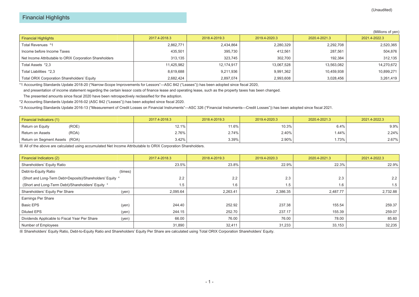|                                                          |               |               |               |               | (Millions of yen) |
|----------------------------------------------------------|---------------|---------------|---------------|---------------|-------------------|
| <b>Financial Highlights</b>                              | 2017.4-2018.3 | 2018.4-2019.3 | 2019.4-2020.3 | 2020.4-2021.3 | 2021.4-2022.3     |
| Total Revenues *1                                        | 2,862,771     | 2,434,864     | 2,280,329     | 2,292,708     | 2,520,365         |
| Income before Income Taxes                               | 435,501       | 395,730       | 412,561       | 287,561       | 504,876           |
| Net Income Attributable to ORIX Corporation Shareholders | 313,135       | 323,745       | 302.700       | 192,384       | 312,135           |
| Total Assets *2,3                                        | 11,425,982    | 12,174,917    | 13,067,528    | 13,563,082    | 14,270,672        |
| Total Liabilities *2,3                                   | 8,619,688     | 9,211,936     | 9,991,362     | 10,459,938    | 10,899,271        |
| <b>Total ORIX Corporation Shareholders' Equity</b>       | 2,682,424     | 2,897,074     | 2,993,608     | 3,028,456     | 3,261,419         |

\*1 Accounting Standards Update 2018-20 ("Narrow-Scope Improvements for Lessors"―ASC 842 ("Leases")) has been adopted since fiscal 2020,

and presentation of income statement regarding the certain lessor costs of finance lease and operating lease, such as the property taxes has been changed.

The presented amounts since fiscal 2020 have been retrospectively reclassified for the adoption.

\*2 Accounting Standards Update 2016-02 (ASC 842 ("Leases")) has been adopted since fiscal 2020.

\*3 Accounting Standards Update 2016-13 ("Measurement of Credit Losses on Financial Instruments"—ASC 326 ("Financial Instruments—Credit Losses")) has been adopted since fiscal 2021.

| Financial Indicators (1)       | 2017.4-2018.3 | 2018.4-2019.3 | 2019.4-2020.3 | 2020.4-2021.3 | 2021.4-2022.3 |
|--------------------------------|---------------|---------------|---------------|---------------|---------------|
| (ROE)<br>Return on Equity      | $12.1\%$      | 11.6%         | 10.3%         | 6.4%          | 9.9%          |
| (ROA)<br>' Return on Assets    | 2.76%         | 2.74%         | 2.40%         | .44%          | 2.24%         |
| Return on Segment Assets (ROA) | $3.42\%$      | 3.39%         | 2.90%         | 1.73%         | 2.67%         |

※ All of the above are calculated using accumulated Net Income Attributable to ORIX Corporation Shareholders.

| Financial Indicators (2)                                   |         | 2017.4-2018.3 | 2018.4-2019.3 | 2019.4-2020.3 | 2020.4-2021.3 | 2021.4-2022.3 |
|------------------------------------------------------------|---------|---------------|---------------|---------------|---------------|---------------|
| Shareholders' Equity Ratio                                 |         | 23.5%         | 23.8%         | 22.9%         | 22.3%         | 22.9%         |
| Debt-to-Equity Ratio                                       | (times) |               |               |               |               |               |
| (Short and Long-Term Debt+Deposits)/Shareholders' Equity * |         | 2.2           | 2.2           | 2.3           | 2.3           | 2.2           |
| (Short and Long-Term Debt)/Shareholders' Equity *          |         | 1.5           | 1.6           | 1.5           | 1.6           | 1.5           |
| Shareholders' Equity Per Share                             | (yen)   | 2,095.64      | 2,263.41      | 2,386.35      | 2,487.77      | 2,732.88      |
| Earnings Per Share                                         |         |               |               |               |               |               |
| <b>Basic EPS</b>                                           | (yen)   | 244.40        | 252.92        | 237.38        | 155.54        | 259.37        |
| <b>Diluted EPS</b>                                         | (yen)   | 244.15        | 252.70        | 237.17        | 155.39        | 259.07        |
| Dividends Applicable to Fiscal Year Per Share              | (yen)   | 66.00         | 76.00         | 76.00         | 78.00         | 85.60         |
| Number of Employees                                        |         | 31,890        | 32,411        | 31,233        | 33,153        | 32,235        |

※ Shareholders' Equity Ratio, Debt-to-Equity Ratio and Shareholders' Equity Per Share are calculated using Total ORIX Corporation Shareholders' Equity.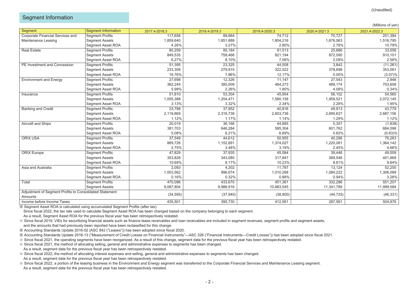#### Segment Information

|                                                         |                            |               |               |               |               | (Millions of yen |
|---------------------------------------------------------|----------------------------|---------------|---------------|---------------|---------------|------------------|
| Segment                                                 | <b>Segment Information</b> | 2017.4-2018.3 | 2018.4-2019.3 | 2019.4-2020.3 | 2020.4-2021.3 | 2021.4-2022.3    |
| Corporate Financial Services and                        | <b>Segment Profits</b>     | 117,656       | 88,664        | 74,712        | 70,727        | 251,384          |
| Maintenance Leasing                                     | <b>Segment Assets</b>      | 1,859,640     | 1,851,888     | 1,804,216     | 1,676,063     | 1,516,795        |
|                                                         | <b>Segment Asset ROA</b>   | 4.26%         | 3.27%         | 2.80%         | 2.78%         | 10.79%           |
| <b>Real Estate</b>                                      | <b>Segment Profits</b>     | 80,259        | 95,184        | 81,513        | 25,886        | 33,558           |
|                                                         | <b>Segment Assets</b>      | 849,535       | 759,466       | 821,194       | 872,095       | 910,101          |
|                                                         | <b>Segment Asset ROA</b>   | 6.27%         | 8.10%         | 7.06%         | 2.09%         | 2.58%            |
| PE Investment and Concession                            | Segment Profits            | 51,395        | 23,325        | 44,508        | 3,842         | (11, 261)        |
|                                                         | <b>Segment Assets</b>      | 233,308       | 279,915       | 322,522       | 378,698       | 353,581          |
|                                                         | Segment Asset ROA          | 16.76%        | 7.86%         | 12.17%        | 0.00%         | (3.07)%          |
| <b>Environment and Energy</b>                           | <b>Segment Profits</b>     | 27,698        | 12,326        | 11,147        | 27,543        | 2,948            |
|                                                         | <b>Segment Assets</b>      | 362,245       | 385,509       | 464,273       | 489,174       | 703,608          |
|                                                         | Segment Asset ROA          | 5.99%         | 2.26%         | 1.80%         | 4.08%         | 0.34%            |
| Insurance                                               | <b>Segment Profits</b>     | 51,810        | 53,304        | 45,954        | 56,152        | 54,560           |
|                                                         | <b>Segment Assets</b>      | 1,055,388     | 1,254,471     | 1,580,158     | 1,959,521     | 2,072,145        |
|                                                         | <b>Segment Asset ROA</b>   | 3.13%         | 3.32%         | 2.34%         | 2.28%         | 1.95%            |
| <b>Banking and Credit</b>                               | <b>Segment Profits</b>     | 33,788        | 37,952        | 40,816        | 49,913        | 43,779           |
|                                                         | <b>Segment Assets</b>      | 2,118,869     | 2,316,738     | 2,603,736     | 2,690,627     | 2,687,156        |
|                                                         | <b>Segment Asset ROA</b>   | 1.12%         | 1.17%         | 1.14%         | 1.29%         | 1.12%            |
| <b>Aircraft and Ships</b>                               | <b>Segment Profits</b>     | 20,019        | 36,166        | 44,885        | 5,357         | (1,838)          |
|                                                         | <b>Segment Assets</b>      | 381,703       | 646,284       | 585,304       | 601,762       | 684,098          |
|                                                         | <b>Segment Asset ROA</b>   | 5.08%         | 6.21%         | 6.69%         | 0.82%         | (0.63)%          |
| <b>ORIX USA</b>                                         | <b>Segment Profits</b>     | 37,549        | 44,612        | 50,955        | 40,296        | 76,263           |
|                                                         | <b>Segment Assets</b>      | 869,726       | 1,152,891     | 1,374,027     | 1,220,081     | 1,364,142        |
|                                                         | <b>Segment Asset ROA</b>   | 2.75%         | 3.48%         | 3.19%         | 2.45%         | 4.66%            |
| <b>ORIX Europe</b>                                      | <b>Segment Profits</b>     | 47,829        | 37,935        | 45,084        | 39,446        | 49,559           |
|                                                         | <b>Segment Assets</b>      | 353,828       | 343,080       | 317,847       | 369,546       | 401,869          |
|                                                         | Segment Asset ROA          | 10.69%        | 8.17%         | 10.23%        | 8.61%         | 9.64%            |
| Asia and Australia                                      | <b>Segment Profits</b>     | 2,093         | 4,202         | 11,787        | 13,124        | 52,255           |
|                                                         | <b>Segment Assets</b>      | 1,003,562     | 996,674       | 1,010,268     | 1,084,222     | 1,306,089        |
|                                                         | Segment Asset ROA          | 0.16%         | 0.32%         | 0.88%         | 0.94%         | 3.28%            |
| Total                                                   | <b>Segment Profits</b>     | 470,096       | 433,670       | 451,361       | 332,286       | 551,207          |
|                                                         | <b>Segment Assets</b>      | 9,087,804     | 9,986,916     | 10,883,545    | 11,341,789    | 11,999,584       |
| Adjustment of Segment Profits to Consolidated Statement |                            |               |               |               | (44, 725)     |                  |
| Amounts                                                 |                            | (34, 595)     | (37, 940)     | (38, 800)     |               | (46, 331)        |
| Income before Income Taxes                              |                            | 435,501       | 395,730       | 412,561       | 287,561       | 504,876          |

※ Segment Asset ROA is calculated using accumulated Segment Profits (after tax).

Since fiscal 2022, the tax rate used to calculate Segment Asset ROA has been changed based on the company belonging to each segment.

As a result, Segment Asset ROA for the previous fiscal year has been retrospectively restated.

※ Since fiscal 2019, VIEs for securitizing financial assets such as finance lease receivables and loan receivables are included in segment revenues, segment profits and segment assets,

and the amounts that had previously been reported have been reclassified for this change.

※ Accounting Standards Update 2016-02 (ASC 842 ("Leases")) has been adopted since fiscal 2020.

※ Accounting Standards Update 2016-13 ("Measurement of Credit Losses on Financial Instruments"―ASC 326 ("Financial Instruments―Credit Losses")) has been adopted since fiscal 2021.

※ Since fiscal 2021, the operating segments have been reorganized. As a result of this change, segment data for the previous fiscal year has been retrospectively restated.

※ Since fiscal 2021, the method of allocating selling, general and administrative expenses to segments has been changed.

As a result, segment data for the previous fiscal year has been retrospectively restated.

※ Since fiscal 2022, the method of allocating interest expenses and selling, general and administrative expenses to segments has been changed. As a result, segment data for the previous fiscal year has been retrospectively restated.

※ Since fiscal 2022, a portion of the leasing business in the Environment and Energy segment was transferred to the Corporate Financial Services and Maintenance Leasing segment. As a result, segment data for the previous fiscal year has been retrospectively restated.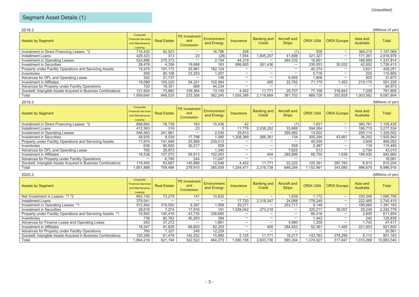| 2018.3<br>(Millions of yen)                                   |                                                                      |                    |                                           |                           |                          |                              |                              |                 |                          |                       |           |  |
|---------------------------------------------------------------|----------------------------------------------------------------------|--------------------|-------------------------------------------|---------------------------|--------------------------|------------------------------|------------------------------|-----------------|--------------------------|-----------------------|-----------|--|
| <b>Assets by Segment</b>                                      | Corporate<br><b>Financial Services</b><br>and Maintenance<br>Leasing | <b>Real Estate</b> | <b>PE</b> Investment<br>and<br>Concession | Environment<br>and Energy | Insurance                | <b>Banking and</b><br>Credit | Aircraft and<br><b>Ships</b> | <b>ORIX USA</b> | <b>ORIX Europe</b>       | Asia and<br>Australia | Total     |  |
| Investment in Direct Financing Leases *2                      | 718.430                                                              | 82.923             | —                                         | 16.786                    | 208                      | $\overline{\phantom{0}}$     | (1                           | 508             | $\overline{\phantom{0}}$ | 368.215               | ,187,069  |  |
| Installment Loans                                             | 429,323                                                              | 313                | 23                                        | (28)                      | 7,554                    | 1.845.207                    | 41.898                       | 321.327         | $\overline{\phantom{0}}$ | 171.361               | 2,816,978 |  |
| Investment in Operating Leases                                | 524.886                                                              | 275.373            | -                                         | 2,104                     | 44.319                   | -                            | 284.332                      | 16,801          | -                        | 189.999               | 1,337,814 |  |
| Investment in Securities                                      | 28.478                                                               | 4,356              | 19,688                                    | 163                       | 998.855                  | 261.436                      | $\overline{\phantom{0}}$     | 335,053         | 35,532                   | 42,852                | ,726,413  |  |
| Property under Facility Operations and Servicing Assets       | 15,979                                                               | 191,172            | 25,981                                    | 182.124                   | $\overline{\phantom{0}}$ |                              | $\overline{\phantom{0}}$     | 40.374          | $\overline{\phantom{0}}$ | 3,621                 | 459,251   |  |
| Inventories                                                   | 509                                                                  | 80.108             | 23.253                                    | 1.007                     | $\overline{\phantom{0}}$ | -                            | $\overline{\phantom{0}}$     | 5.718           | $\overline{\phantom{0}}$ | 205                   | 110,800   |  |
| Advances for DFL and Operating Lease                          | 302                                                                  | 21.737             |                                           | 146                       | $\overline{\phantom{0}}$ | $\overline{\phantom{0}}$     | 6.955                        | 1,608           | —                        | 925                   | 31,673    |  |
| Investment in Affiliates                                      | 19,089                                                               | 100.220            | 54,331                                    | 102,564                   | $\overline{\phantom{0}}$ | 455                          | 22.762                       | 71.179          | 1,453                    | 219.175               | 591,228   |  |
| Advances for Property under Facility Operations               | 720                                                                  | 19.351             | 668                                       | 44.234                    | $\overline{\phantom{0}}$ | -                            |                              |                 | -                        |                       | 64,973    |  |
| Goodwill, Intangible Assets Acquired in Business Combinations | 121.924                                                              | 73,982             | 109.364                                   | 13.145                    | 4.452                    | 11.771                       | 25,757                       | 77.158          | 316.843                  | 7.209                 | 761,605   |  |
| Total                                                         | .859.640                                                             | 849.535            | 233.308                                   | 362.245                   | 1.055.388                | 2.118.869                    | 381,703                      | 869.726         | 353.828                  | 1,003,562             | 9.087.804 |  |

| 2019.3<br>(Millions of yen)                                   |                                                                      |                    |                                    |                                  |                          |                              |                              |                 |                    |                       |           |  |
|---------------------------------------------------------------|----------------------------------------------------------------------|--------------------|------------------------------------|----------------------------------|--------------------------|------------------------------|------------------------------|-----------------|--------------------|-----------------------|-----------|--|
| <b>Assets by Segment</b>                                      | Corporate<br><b>Financial Services</b><br>and Maintenance<br>Leasing | <b>Real Estate</b> | PE Investment<br>and<br>Concession | <b>Environment</b><br>and Energy | Insurance                | <b>Banking and</b><br>Credit | Aircraft and<br><b>Ships</b> | <b>ORIX USA</b> | <b>ORIX Europe</b> | Asia and<br>Australia | Total     |  |
| Investment in Direct Financing Leases *2                      | 698,664                                                              | 78.739             | 163                                | 15.436                           | 42                       | -                            | (1)                          | 1,631           | -                  | 360.761               | ,155,435  |  |
| Installment Loans                                             | 412,363                                                              | 316                | 23                                 |                                  | 11,778                   | 2,038,202                    | 33,868                       | 594,264         | -                  | 186,715               | 3,277,534 |  |
| Investment in Operating Leases                                | 546,563                                                              | 241,981            | -                                  | 2,030                            | 29.810                   | -                            | 295.982                      | 13,022          | -                  | 200,114               | .329,502  |  |
| Investment in Securities                                      | 38.935                                                               | 8.039              | 17.798                             | 080.1                            | 1.208.389                | 266.361                      | 134                          | 305.294         | 43.661             | 36.252                | ,925,943  |  |
| Property under Facility Operations and Servicing Assets       | 17,974                                                               | 141,949            | 25,568                             | 239,413                          |                          | -                            | $\overline{\phantom{0}}$     | 40,539          | -                  | 3,609                 | 469,052   |  |
| Inventories                                                   | 638                                                                  | 80,920             | 30.217                             | 559                              | $\overline{\phantom{0}}$ | -                            | 558                          | 2,487           | -                  | 116                   | 115,495   |  |
| Advances for DFL and Operating Lease                          | 765                                                                  | 29.973             | -                                  | .340                             | $\overline{\phantom{0}}$ | -                            | 7.625                        | 513             | -                  | 2.794                 | 43,010    |  |
| Investment in Affiliates                                      | 16.536                                                               | 107.072            | 59.913                             | 102.053                          | $\overline{\phantom{0}}$ | 404                          | 285.896                      | 69.750          | 1.636              | 199.400               | 842,660   |  |
| Advances for Property under Facility Operations               | -                                                                    | 6.790              | 244                                | 11.047                           | $\overline{\phantom{0}}$ | -                            | $\overline{\phantom{0}}$     | -               | -                  |                       | 18,081    |  |
| Goodwill, Intangible Assets Acquired in Business Combinations | 119.450                                                              | 63,687             | 145.989                            | 12.546                           | 4.452                    | 11.771                       | 22.222                       | 125.391         | 297.783            | 6.913                 | 810,204   |  |
| Total                                                         | 888,1851,                                                            | 759.466            | 279.915                            | 385,509                          | 1.254.471                | 2.316.738                    | 646.284                      | .152.891        | 343.080            | 996,674               | 9,986,916 |  |

| 2020.3<br>(Millions of yen)                                   |                                                                      |                    |                                    |                           |                          |                              |                              |                 |                          |                       |            |  |
|---------------------------------------------------------------|----------------------------------------------------------------------|--------------------|------------------------------------|---------------------------|--------------------------|------------------------------|------------------------------|-----------------|--------------------------|-----------------------|------------|--|
| <b>Assets by Segment</b>                                      | Corporate<br><b>Financial Services</b><br>and Maintenance<br>Leasing | <b>Real Estate</b> | PE Investment<br>and<br>Concession | Environment<br>and Energy | Insurance                | <b>Banking and</b><br>Credit | Aircraft and<br><b>Ships</b> | <b>ORIX USA</b> | <b>ORIX Europe</b>       | Asia and<br>Australia | Total      |  |
| Net Investment in Leases *1 *2                                | 663,150                                                              | 73.279             | 141                                | 10,832                    | $\overline{\phantom{0}}$ | $\overline{\phantom{0}}$     | 1.839                        | 1.172           | $\overline{\phantom{0}}$ | 330,346               | 1,080,759  |  |
| Installment Loans                                             | 379,541                                                              | -                  | -                                  | -                         | 17.720                   | 2,318,347                    | 24,088                       | 778.249         | -                        | 222.465               | 3,740,410  |  |
| Investment in Operating Leases *1                             | 572.492                                                              | 319.550            | 9.367                              | 1,958                     | 29.271                   | $\overline{\phantom{0}}$     | 253.717                      | 9.148           | -                        | 195.660               | 391,163. ا |  |
| Investment in Securities                                      | 28.616                                                               | 7.274              | 17.916                             | 191                       | 1.528.042                | 273.218                      | $\overline{\phantom{m}}$     | 320.217         | 38.057                   | 29,248                | 2,242,779  |  |
| Property under Facility Operations and Servicing Assets *1    | 19,992                                                               | 140.416            | 43,735                             | 338,695                   |                          | -                            | $\overline{\phantom{0}}$     | 66.416          | -                        | 2,600                 | 611,854    |  |
| Inventories                                                   | 736                                                                  | 82.762             | 40.263                             | 394                       | $\overline{\phantom{0}}$ | $\overline{\phantom{0}}$     | $\overline{\phantom{0}}$     | 1,442           | -                        | 242                   | 125,839    |  |
| Advances for Finance Lease and Operating Lease                | 293                                                                  | 37.272             | -                                  | 1.861                     |                          | $\overline{\phantom{0}}$     | 4.990                        | 1.259           | -                        | 1.742                 | 47.417     |  |
| Investment in Affiliates                                      | 18,347                                                               | 91,835             | 68.603                             | 82.253                    | -                        | 400                          | 284.453                      | 52,361          | i 495                    | 221,853               | 821,600    |  |
| Advances for Property under Facility Operations               | 760                                                                  | 7.327              | 245                                | 12.229                    | -                        | $\overline{\phantom{0}}$     |                              | -               | _                        |                       | 20,561     |  |
| Goodwill, Intangible Assets Acquired in Business Combinations | 120,289                                                              | 61.479             | 142,252                            | 15,860                    | 5.125                    | 11.771                       | 16,217                       | 143.763         | 278.295                  | 6,112                 | 801,163    |  |
| Total                                                         | 804.216                                                              | 821.194            | 322.522                            | 464.273                   | 1.580.158                | 2.603.736                    | 585.304                      | 1.374.027       | 317.847                  | .010.268              | 10.883.545 |  |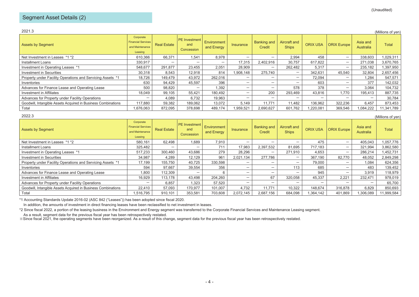## Segment Asset Details (2)

| 2021.3                                                        |                                                                      |                    |                                           |                           |                          |                              |                              |                 |                          |                       | (Millions of yen) |
|---------------------------------------------------------------|----------------------------------------------------------------------|--------------------|-------------------------------------------|---------------------------|--------------------------|------------------------------|------------------------------|-----------------|--------------------------|-----------------------|-------------------|
| <b>Assets by Segment</b>                                      | Corporate<br><b>Financial Services</b><br>and Maintenance<br>Leasing | <b>Real Estate</b> | <b>PE</b> Investment<br>and<br>Concession | Environment<br>and Energy | <b>Insurance</b>         | <b>Banking and</b><br>Credit | Aircraft and<br><b>Ships</b> | <b>ORIX USA</b> | <b>ORIX Europe</b>       | Asia and<br>Australia | <b>Total</b>      |
| Net Investment in Leases *1 *2                                | 610,366                                                              | 66.371             | 1.541                                     | 8,978                     | $\overline{\phantom{0}}$ | $\overline{\phantom{0}}$     | 2.994                        | 458             | $\overline{\phantom{0}}$ | 338,603               | 1,029,311         |
| Installment Loans                                             | 330,917                                                              | -                  | $\overline{\phantom{0}}$                  | $\overline{\phantom{0}}$  | 17.315                   | 2,402,916                    | 30,757                       | 617.822         | $\overline{\phantom{0}}$ | 271,038               | 3,670,765         |
| Investment in Operating Leases *1                             | 548.677                                                              | 291.877            | 23.455                                    | 2.051                     | 28.909                   | $\overline{\phantom{0}}$     | 262.482                      | 5,317           | $\overline{\phantom{0}}$ | 235,182               | 1,397,950         |
| <b>Investment in Securities</b>                               | 30,318                                                               | 8,543              | 12.918                                    | 814                       | 1,908,148                | 275.740                      | $\overline{\phantom{0}}$     | 342,631         | 45,540                   | 32,804                | 2,657,456         |
| Property under Facility Operations and Servicing Assets *1    | 18.726                                                               | 149.479            | 43.972                                    | 262.016                   | $\overline{\phantom{0}}$ | -                            | $\overline{\phantom{0}}$     | 72.094          | $\overline{\phantom{0}}$ | 1.284                 | 547,571           |
| Inventories                                                   | 630                                                                  | 94,429             | 45.597                                    | 396                       | $\overline{\phantom{0}}$ | $\overline{\phantom{0}}$     | $\overline{\phantom{0}}$     | 603             | $\overline{\phantom{0}}$ | 377                   | 142,032           |
| Advances for Finance Lease and Operating Lease                | 500                                                                  | 98,820             | $\overline{\phantom{0}}$                  | ,392                      | $\overline{\phantom{0}}$ | $\overline{\phantom{0}}$     | 578                          | 378             | $\overline{\phantom{0}}$ | 3,064                 | 104,732           |
| <b>Investment in Affiliates</b>                               | 18.049                                                               | 99,105             | 55,421                                    | 180,492                   | $\overline{\phantom{0}}$ | 200                          | 293.469                      | 43,816          | 1.770                    | 195,413               | 887,735           |
| Advances for Property under Facility Operations               |                                                                      | 4,089              | 6,732                                     | 19,963                    |                          | -                            | $\overline{\phantom{0}}$     | -               | $\overline{\phantom{0}}$ |                       | 30,784            |
| Goodwill, Intangible Assets Acquired in Business Combinations | 117.880                                                              | 59,382             | 189.062                                   | 13.072                    | 5.149                    | 11.771                       | 11.482                       | 136.962         | 322.236                  | 6,457                 | 873,453           |
| Total                                                         | 1.676.063                                                            | 872,095            | 378,698                                   | 489,174                   | 1,959,521                | 2.690.627                    | 601,762                      | .220.081        | 369,546                  | 084,222               | 11,341,789        |

|--|--|

| 2022.3<br>(Millions of yen)                                   |                                                                      |                    |                                    |                                  |                          |                              |                              |                          |                          |                       |            |  |
|---------------------------------------------------------------|----------------------------------------------------------------------|--------------------|------------------------------------|----------------------------------|--------------------------|------------------------------|------------------------------|--------------------------|--------------------------|-----------------------|------------|--|
| <b>Assets by Segment</b>                                      | Corporate<br><b>Financial Services</b><br>and Maintenance<br>Leasing | <b>Real Estate</b> | PE Investment<br>and<br>Concession | <b>Environment</b><br>and Energy | Insurance                | <b>Banking and</b><br>Credit | Aircraft and<br><b>Ships</b> | <b>ORIX USA</b>          | <b>ORIX Europe</b>       | Asia and<br>Australia | Total      |  |
| Net Investment in Leases *1 *2                                | 580,161                                                              | 62,498             | 1.689                              | 7.910                            | -                        | $\overline{\phantom{0}}$     | -                            | 475                      | $\overline{\phantom{0}}$ | 405,043               | 1,057,776  |  |
| <b>Installment Loans</b>                                      | 325,482                                                              |                    | -                                  | 711                              | 17.983                   | 2.397.532                    | 81.695                       | 717.183                  | $\overline{\phantom{0}}$ | 321,994               | 3,862,580  |  |
| Investment in Operating Leases *1                             | 517.233                                                              | 300.460            | 43.686                             | 279                              | 28.296                   | $\overline{\phantom{0}}$     | 271.910                      | 4.653                    | $\overline{\phantom{0}}$ | 286,214               | 452,731    |  |
| <b>Investment in Securities</b>                               | 34.987                                                               | 4.289              | 12,129                             | 961                              | 2.021.134                | 277.786                      | $\overline{\phantom{m}}$     | 367.190                  | 82.770                   | 48,052                | 2,849,298  |  |
| Property under Facility Operations and Servicing Assets *1    | 17,199                                                               | 155,750            | 40.725                             | 330,598                          | $\overline{\phantom{0}}$ | $\overline{\phantom{0}}$     | —                            | 79.000                   | $\overline{\phantom{0}}$ | 1,084                 | 624,356    |  |
| Inventories                                                   | 594                                                                  | 97.667             | 39.554                             | 356                              | $\overline{\phantom{0}}$ | $\overline{\phantom{0}}$     | 113                          | 685                      | $\overline{\phantom{0}}$ | 483                   | 139,452    |  |
| Advances for Finance Lease and Operating Lease                | 1,800                                                                | 112,309            | -                                  | 6                                | $\overline{\phantom{0}}$ | $\overline{\phantom{0}}$     | -                            | 945                      | $\overline{\phantom{0}}$ | 3.919                 | 118,979    |  |
| Investment in Affiliates                                      | 16,929                                                               | 113,178            | 43,498                             | 204,260                          | $\overline{\phantom{0}}$ | 67                           | 320,058                      | 45,337                   | 2,221                    | 232,471               | 978,019    |  |
| Advances for Property under Facility Operations               | -                                                                    | 6,857              | 1,323                              | 57,520                           | $\overline{\phantom{0}}$ | $\overline{\phantom{0}}$     | -                            | $\overline{\phantom{0}}$ | $\overline{\phantom{m}}$ | -                     | 65,700     |  |
| Goodwill, Intangible Assets Acquired in Business Combinations | 22,410                                                               | 57,093             | 170.977                            | 101,007                          | 4.732                    | 11.771                       | 10,322                       | 148.674                  | 316,878                  | 6.829                 | 850,693    |  |
| Total                                                         | .516.795                                                             | 910,101            | 353,581                            | 703,608                          | 2.072.145                | 2,687,156                    | 684,098                      | 1,364,142                | 401,869                  | 1,306,089             | 11,999,584 |  |

\*1 Accounting Standards Update 2016-02 (ASC 842 ("Leases")) has been adopted since fiscal 2020.

In addition, the amounts of investment in direct financing leases have been reclassified to net investment in leases.

\*2 Since fiscal 2022, a portion of the leasing business in the Environment and Energy segment was transferred to the Corporate Financial Services and Maintenance Leasing segment.

As a result, segment data for the previous fiscal year has been retrospectively restated.

※Since fiscal 2021, the operating segments have been reorganized. As a result of this change, segment data for the previous fiscal year has been retrospectively restated.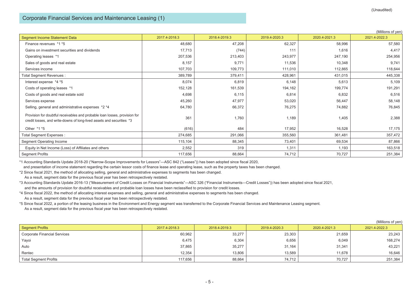$\lambda$  and  $\lambda$ 

|                                                                                                                                                     |               |               |               |               | (Millions of yen) |
|-----------------------------------------------------------------------------------------------------------------------------------------------------|---------------|---------------|---------------|---------------|-------------------|
| Segment Income Statement Data                                                                                                                       | 2017.4-2018.3 | 2018.4-2019.3 | 2019.4-2020.3 | 2020.4-2021.3 | 2021.4-2022.3     |
| Finance revenues *1 *5                                                                                                                              | 48,680        | 47,208        | 62,327        | 58,996        | 57,580            |
| Gains on investment securities and dividends                                                                                                        | 17,713        | (744)         | 111           | 1,616         | 4,417             |
| Operating leases *1                                                                                                                                 | 207,536       | 213,403       | 243,977       | 247,190       | 254,956           |
| Sales of goods and real estate                                                                                                                      | 8,157         | 9,771         | 11,536        | 10,348        | 9,741             |
| Services income                                                                                                                                     | 107,703       | 109,773       | 111,010       | 112,865       | 118,644           |
| Total Segment Revenues :                                                                                                                            | 389,789       | 379,411       | 428,961       | 431,015       | 445,338           |
| Interest expense *4 *5                                                                                                                              | 8,074         | 6,819         | 6,148         | 5,613         | 5,109             |
| Costs of operating leases *1                                                                                                                        | 152,128       | 161,539       | 194,162       | 199,774       | 191,291           |
| Costs of goods and real estate sold                                                                                                                 | 4,698         | 6,115         | 6,814         | 6,832         | 6,516             |
| Services expense                                                                                                                                    | 45,260        | 47,977        | 53,020        | 56,447        | 58,148            |
| Selling, general and administrative expenses *2 *4                                                                                                  | 64,780        | 66,372        | 76,275        | 74,882        | 76,845            |
| Provision for doubtful receivables and probable loan losses, provision for<br>credit losses, and write-downs of long-lived assets and securities *3 | 361           | 1,760         | 1,189         | 1,405         | 2,388             |
| Other *1 *5                                                                                                                                         | (616)         | 484           | 17,952        | 16,528        | 17,175            |
| Total Segment Expenses :                                                                                                                            | 274,685       | 291,066       | 355,560       | 361,481       | 357,472           |
| <b>Segment Operating Income</b>                                                                                                                     | 115,104       | 88,345        | 73,401        | 69,534        | 87,866            |
| Equity in Net Income (Loss) of Affiliates and others                                                                                                | 2,552         | 319           | 1,311         | 1,193         | 163,518           |
| <b>Segment Profits</b>                                                                                                                              | 117,656       | 88,664        | 74,712        | 70,727        | 251,384           |

\*1 Accounting Standards Update 2018-20 ("Narrow-Scope Improvements for Lessors"―ASC 842 ("Leases")) has been adopted since fiscal 2020,

and presentation of income statement regarding the certain lessor costs of finance lease and operating lease, such as the property taxes has been changed.

\*2 Since fiscal 2021, the method of allocating selling, general and administrative expenses to segments has been changed.

As a result, segment data for the previous fiscal year has been retrospectively restated.

\*3 Accounting Standards Update 2016-13 ("Measurement of Credit Losses on Financial Instruments"―ASC 326 ("Financial Instruments―Credit Losses")) has been adopted since fiscal 2021, and the amounts of provision for doubtful receivables and probable loan losses have been reclassified to provision for credit losses.

\*4 Since fiscal 2022, the method of allocating interest expenses and selling, general and administrative expenses to segments has been changed. As a result, segment data for the previous fiscal year has been retrospectively restated.

\*5 Since fiscal 2022, a portion of the leasing business in the Environment and Energy segment was transferred to the Corporate Financial Services and Maintenance Leasing segment. As a result, segment data for the previous fiscal year has been retrospectively restated.

|                                     |               |               |               |               | (Millions of yen) |
|-------------------------------------|---------------|---------------|---------------|---------------|-------------------|
| <b>Segment Profits</b>              | 2017.4-2018.3 | 2018.4-2019.3 | 2019.4-2020.3 | 2020.4-2021.3 | 2021.4-2022.3     |
| <b>Corporate Financial Services</b> | 60,962        | 33,277        | 23,303        | 21,659        | 23,243            |
| Yayoi                               | 6,475         | 6,304         | 6,656         | 6,049         | 168,274           |
| Auto                                | 37,865        | 35,277        | 31,164        | 31,341        | 43,221            |
| Rentec                              | 12,354        | 13,806        | 13,589        | 11,678        | 16,646            |
| <b>Total Segment Profits</b>        | 117,656       | 88,664        | 74,712        | 70,727        | 251,384           |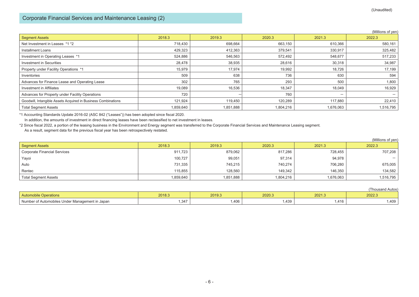#### Corporate Financial Services and Maintenance Leasing (2)

| (Millions of yen) |  |  |
|-------------------|--|--|
|-------------------|--|--|

| <b>Segment Assets</b>                                         | 2018.3    | 2019.3    | 2020.3    | 2021.3                   | 2022.3    |
|---------------------------------------------------------------|-----------|-----------|-----------|--------------------------|-----------|
| Net Investment in Leases *1 *2                                | 718.430   | 698,664   | 663,150   | 610,366                  | 580,161   |
| <b>Installment Loans</b>                                      | 429,323   | 412,363   | 379,541   | 330,917                  | 325,482   |
| Investment in Operating Leases *1                             | 524,886   | 546,563   | 572,492   | 548,677                  | 517,233   |
| Investment in Securities                                      | 28,478    | 38,935    | 28,616    | 30,318                   | 34,987    |
| Property under Facility Operations *1                         | 15,979    | 17,974    | 19,992    | 18,726                   | 17,199    |
| Inventories                                                   | 509       | 638       | 736       | 630                      | 594       |
| Advances for Finance Lease and Operating Lease                | 302       | 765       | 293       | 500                      | 1,800     |
| Investment in Affiliates                                      | 19,089    | 16,536    | 18,347    | 18,049                   | 16,929    |
| Advances for Property under Facility Operations               | 720       |           | 760       | $\overline{\phantom{0}}$ |           |
| Goodwill, Intangible Assets Acquired in Business Combinations | 121.924   | 119,450   | 120,289   | 117,880                  | 22.410    |
| <b>Total Segment Assets</b>                                   | 1,859,640 | 1,851,888 | 1,804,216 | 1,676,063                | 1,516,795 |

\*1 Accounting Standards Update 2016-02 (ASC 842 ("Leases")) has been adopted since fiscal 2020.

In addition, the amounts of investment in direct financing leases have been reclassified to net investment in leases.

\*2 Since fiscal 2022, a portion of the leasing business in the Environment and Energy segment was transferred to the Corporate Financial Services and Maintenance Leasing segment. As a result, segment data for the previous fiscal year has been retrospectively restated.

|                                     |           |           |           |           | (Millions of yen) |
|-------------------------------------|-----------|-----------|-----------|-----------|-------------------|
| <b>Segment Assets</b>               | 2018.3    | 2019.3    | 2020.3    | 2021.3    | 2022.3            |
| <b>Corporate Financial Services</b> | 911,723   | 879,062   | 817,286   | 728,455   | 707,208           |
| Yayoi                               | 100.727   | 99,051    | 97,314    | 94,978    | -                 |
| Auto                                | 731,335   | 745,215   | 740,274   | 706,280   | 675,005           |
| Rentec                              | 115.855   | 128.560   | 149,342   | 146,350   | 134,582           |
| <b>Total Segment Assets</b>         | 1,859,640 | 1,851,888 | 1,804,216 | 1,676,063 | 1,516,795         |

|                                                 |        |        |        |        | (Thousand Autos) |
|-------------------------------------------------|--------|--------|--------|--------|------------------|
| <b>Automobile Operations</b>                    | 2018.3 | 2019.3 | 2020.3 | 2021.3 | 2022.3           |
| Number of Automobiles Under Management in Japan | ,347   | .406   | ,439   | .416   | l,409            |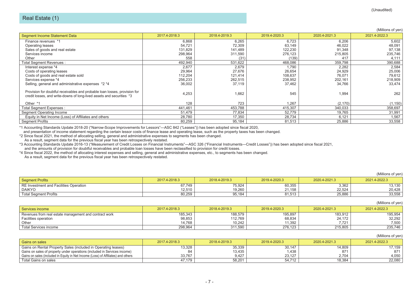$(Millions of yon)$ 

|                                                                                                                                                     |               |               |               |               | (Millions of yen) |
|-----------------------------------------------------------------------------------------------------------------------------------------------------|---------------|---------------|---------------|---------------|-------------------|
| Segment Income Statement Data                                                                                                                       | 2017.4-2018.3 | 2018.4-2019.3 | 2019.4-2020.3 | 2020.4-2021.3 | 2021.4-2022.3     |
| Finance revenues *1                                                                                                                                 | 6,868         | 6,265         | 6,723         | 6,206         | 5,602             |
| Operating leases                                                                                                                                    | 54,721        | 72,309        | 63,149        | 46,022        | 48,091            |
| Sales of goods and real estate                                                                                                                      | 131,829       | 141,489       | 122,230       | 91,348        | 97,138            |
| Services income                                                                                                                                     | 298,964       | 311,590       | 276,123       | 215,805       | 235,746           |
| Other                                                                                                                                               | 558           | (31)          | (139)         | 417           | 4,111             |
| Total Segment Revenues :                                                                                                                            | 492,940       | 531,622       | 468,086       | 359,798       | 390,688           |
| Interest expense *4                                                                                                                                 | 2,677         | 2,679         | 1,790         | 2,282         | 2,584             |
| Costs of operating leases                                                                                                                           | 29,964        | 27,676        | 26,654        | 24,929        | 25,006            |
| Costs of goods and real estate sold                                                                                                                 | 112,204       | 121,414       | 108,637       | 76,071        | 79,612            |
| Services expense *4                                                                                                                                 | 256,233       | 262,515       | 238,952       | 202,161       | 218,909           |
| Selling, general and administrative expenses *2 *4                                                                                                  | 36,002        | 37,119        | 37,462        | 34,766        | 33,474            |
| Provision for doubtful receivables and probable loan losses, provision for<br>credit losses, and write-downs of long-lived assets and securities *3 | 4,253         | 1,662         | 545           | 1,994         | 262               |
| Other *1                                                                                                                                            | 128           | 723           | 1.267         | (2, 170)      | (1, 150)          |
| Total Segment Expenses :                                                                                                                            | 441,461       | 453,788       | 415,307       | 340,033       | 358,697           |
| Segment Operating Income                                                                                                                            | 51,479        | 77.834        | 52,779        | 19,765        | 31,991            |
| Equity in Net Income (Loss) of Affiliates and others                                                                                                | 28,780        | 17,350        | 28,734        | 6,121         | 1,567             |
| <b>Segment Profits</b>                                                                                                                              | 80,259        | 95,184        | 81,513        | 25,886        | 33,558            |

\*1 Accounting Standards Update 2018-20 ("Narrow-Scope Improvements for Lessors"―ASC 842 ("Leases")) has been adopted since fiscal 2020,

and presentation of income statement regarding the certain lessor costs of finance lease and operating lease, such as the property taxes has been changed.

\*2 Since fiscal 2021, the method of allocating selling, general and administrative expenses to segments has been changed.

As a result, segment data for the previous fiscal year has been retrospectively restated.

\*3 Accounting Standards Update 2016-13 ("Measurement of Credit Losses on Financial Instruments"―ASC 326 ("Financial Instruments―Credit Losses")) has been adopted since fiscal 2021,

and the amounts of provision for doubtful receivables and probable loan losses have been reclassified to provision for credit losses.

\*4 Since fiscal 2022, the method of allocating interest expenses and selling, general and administrative expenses, etc., to segments has been changed. As a result, segment data for the previous fiscal year has been retrospectively restated.

|                                        |               |               |               |               | (Millions of ven) |
|----------------------------------------|---------------|---------------|---------------|---------------|-------------------|
| <b>Segment Profits</b>                 | 2017.4-2018.3 | 2018.4-2019.3 | 2019.4-2020.3 | 2020.4-2021.3 | 2021.4-2022.3     |
| RE Investment and Facilities Operation | 67,749        | 75,924        | 60,355        | 3.362         | 13,130            |
| <b>DAIKYO</b>                          | 12.510        | 19.260        | 21.158        | 22.524        | 20.428            |
| <b>Total Segment Profits</b>           | 80,259        | 95,184        | 81,513        | 25.886        | 33,558            |

|                                                        |               |               |               |               | (Millions of yen) |
|--------------------------------------------------------|---------------|---------------|---------------|---------------|-------------------|
| Services income                                        | 2017.4-2018.3 | 2018.4-2019.3 | 2019.4-2020.3 | 2020.4-2021.3 | 2021.4-2022.3     |
| Revenues from real estate management and contract work | 185,343       | 188,579       | 195,897       | 183,912       | 195,954           |
| Facilities operation                                   | 98,853        | 112,769       | 68,834        | 24,172        | 32,292            |
| Other                                                  | 14.768        | 10.242        | 11.392        |               | 7,500             |
| Total Services income                                  | 298,964       | 311.590       | 276.123       | 215.805       | 235.746           |

|                                                                                   |               |               |               |               | $\mu$         |
|-----------------------------------------------------------------------------------|---------------|---------------|---------------|---------------|---------------|
| Gains on sales                                                                    | 2017.4-2018.3 | 2018.4-2019.3 | 2019.4-2020.3 | 2020.4-2021.3 | 2021.4-2022.3 |
| Gains on Rental Property Sales (included in Operating leases)                     | 13,328        | 35,339        | 30,147        | 14,809        | 17.159        |
| Gains on sales of property under operations (included in Services income)         |               | 13,435        | .438          | 871           | 871           |
| Gains on sales (included in Equity in Net Income (Loss) of Affiliates) and others | 33.767        | 9.427         | 23.127        | 2.704         | 4.050         |
| Total Gains on sales                                                              | 47.179        | 58.201        | 54.712        | 18.384        | 22.080        |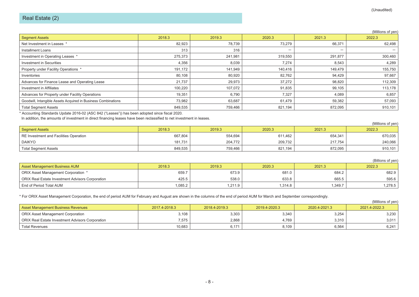|                                                               |         |         |         |         | (IVIIIIIOITIS OF YELL |
|---------------------------------------------------------------|---------|---------|---------|---------|-----------------------|
| <b>Segment Assets</b>                                         | 2018.3  | 2019.3  | 2020.3  | 2021.3  | 2022.3                |
| Net Investment in Leases *                                    | 82,923  | 78,739  | 73,279  | 66,371  | 62,498                |
| Installment Loans                                             | 313     | 316     | -       | -       |                       |
| Investment in Operating Leases *                              | 275,373 | 241,981 | 319,550 | 291,877 | 300,460               |
| Investment in Securities                                      | 4,356   | 8,039   | 7,274   | 8,543   | 4,289                 |
| Property under Facility Operations *                          | 191,172 | 141,949 | 140,416 | 149,479 | 155,750               |
| Inventories                                                   | 80,108  | 80,920  | 82,762  | 94,429  | 97,667                |
| Advances for Finance Lease and Operating Lease                | 21,737  | 29,973  | 37,272  | 98,820  | 112,309               |
| Investment in Affiliates                                      | 100,220 | 107,072 | 91,835  | 99,105  | 113,178               |
| Advances for Property under Facility Operations               | 19,351  | 6,790   | 7,327   | 4,089   | 6,857                 |
| Goodwill, Intangible Assets Acquired in Business Combinations | 73,982  | 63,687  | 61,479  | 59,382  | 57,093                |
| <b>Total Segment Assets</b>                                   | 849,535 | 759,466 | 821,194 | 872,095 | 910,101               |
|                                                               |         |         |         |         |                       |

\* Accounting Standards Update 2016-02 (ASC 842 ("Leases")) has been adopted since fiscal 2020.

In addition, the amounts of investment in direct financing leases have been reclassified to net investment in leases.

|                                        |         |         |         |         | (Millions of yen) |
|----------------------------------------|---------|---------|---------|---------|-------------------|
| Segment Assets                         | 2018.3  | 2019.3  | 2020.3  | 2021.3  | 2022.3            |
| RE Investment and Facilities Operation | 667,804 | 554,694 | 611,462 | 654,341 | 670,035           |
| <b>DAIKYO</b>                          | 181.731 | 204.772 | 209.732 | 217.754 | 240,066           |
| <b>Total Segment Assets</b>            | 849,535 | 759,466 | 821,194 | 872,095 | 910,101           |

|                                                  |         |         |        |         | (Billions of yen) |
|--------------------------------------------------|---------|---------|--------|---------|-------------------|
| <b>Asset Management Business AUM</b>             | 2018.3  | 2019.3  | 2020.3 | 2021.3  | 2022.3            |
| ORIX Asset Management Corporation *              | 659.7   | 673.9   | 681.0  | 684.2   | 682.9             |
| ORIX Real Estate Investment Advisors Corporation | 425.5   | 538.0   | 633.8  | 665.5   | 595.6             |
| End of Period Total AUM                          | 1.085.2 | 1,211.9 | .314.8 | 1,349.7 | 1,278.5           |

\* For ORIX Asset Management Corporation, the end of period AUM for February and August are shown in the columns of the end of period AUM for March and September correspondingly.

|                                                  |               |               |               |               | (Millions of yen) |
|--------------------------------------------------|---------------|---------------|---------------|---------------|-------------------|
| <b>Asset Management Business Revenues</b>        | 2017.4-2018.3 | 2018.4-2019.3 | 2019.4-2020.3 | 2020.4-2021.3 | 2021.4-2022.3     |
| ORIX Asset Management Corporation                | 3,108         | 3,303         | 3,340         | 3,254         | 3,230             |
| ORIX Real Estate Investment Advisors Corporation | 7,575         | 2.868         | 4.769         | 3,310         | 3,011             |
| Total Revenues                                   | 10,683        | 6,171         | 8,109         | 6,564         | 6,241             |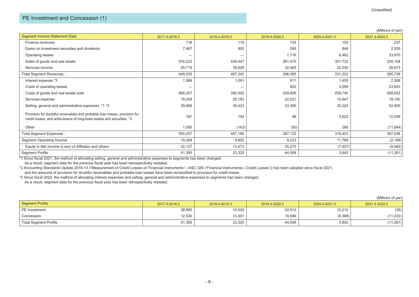## PE Investment and Concession (1)

|                                                                                                                                                     |               |               |               |               | (Millions of yen) |
|-----------------------------------------------------------------------------------------------------------------------------------------------------|---------------|---------------|---------------|---------------|-------------------|
| Segment Income Statement Data                                                                                                                       | 2017.4-2018.3 | 2018.4-2019.3 | 2019.4-2020.3 | 2020.4-2021.3 | 2021.4-2022.3     |
| Finance revenues                                                                                                                                    | 116           | 116           | 124           | 152           | 237               |
| Gains on investment securities and dividends                                                                                                        | 7,467         | 850           | 585           | 846           | 2,555             |
| Operating leases                                                                                                                                    |               | -             | 1,716         | 6,462         | 33,870            |
| Sales of goods and real estate                                                                                                                      | 916,223       | 429,447       | 261,475       | 301,732       | 320,104           |
| Services income                                                                                                                                     | 25,719        | 36,629        | 32,465        | 22,030        | 28,973            |
| Total Segment Revenues :                                                                                                                            | 949,525       | 467,042       | 296,365       | 331,222       | 385,739           |
| Interest expense *3                                                                                                                                 | 1,068         | 1,091         | 911           | 1,455         | 2,268             |
| Costs of operating leases                                                                                                                           | -             |               | 852           | 3,099         | 23,643            |
| Costs of goods and real estate sold                                                                                                                 | 868,327       | 395,502       | 229,905       | 259,740       | 289,522           |
| Services expense                                                                                                                                    | 19,209        | 25,183        | 22,021        | 15,947        | 19,150            |
| Selling, general and administrative expenses *1 *3                                                                                                  | 39,986        | 35,423        | 33,395        | 35,324        | 52,600            |
| Provision for doubtful receivables and probable loan losses, provision for<br>credit losses, and write-downs of long-lived assets and securities *2 | 167           | 154           | 98            | 3,622         | 12,599            |
| Other                                                                                                                                               | 1,500         | (163)         | (50)          | 266           | (11, 844)         |
| Total Segment Expenses :                                                                                                                            | 930,257       | 457,190       | 287,132       | 319,453       | 387,938           |
| Segment Operating Income                                                                                                                            | 19,268        | 9,852         | 9,233         | 11,769        | (2, 199)          |
| Equity in Net Income (Loss) of Affiliates and others                                                                                                | 32,127        | 13,473        | 35,275        | (7, 927)      | (9,062)           |
| <b>Segment Profits</b>                                                                                                                              | 51,395        | 23,325        | 44,508        | 3,842         | (11, 261)         |

\*1 Since fiscal 2021, the method of allocating selling, general and administrative expenses to segments has been changed.

As a result, segment data for the previous fiscal year has been retrospectively restated.

\*2 Accounting Standards Update 2016-13 ("Measurement of Credit Losses on Financial Instruments"―ASC 326 ("Financial Instruments―Credit Losses")) has been adopted since fiscal 2021, and the amounts of provision for doubtful receivables and probable loan losses have been reclassified to provision for credit losses.

\*3 Since fiscal 2022, the method of allocating interest expenses and selling, general and administrative expenses to segments has been changed.

As a result, segment data for the previous fiscal year has been retrospectively restated.

 $(Millione of von)$ 

|                              |               |               |               |               | (IVIIIIUIIS UI YEIT |
|------------------------------|---------------|---------------|---------------|---------------|---------------------|
| Segment Profits              | 2017.4-2018.3 | 2018.4-2019.3 | 2019.4-2020.3 | 2020.4-2021.3 | 2021.4-2022.3       |
| PE Investment                | 38,865        | 10,024        | 24,912        | 12,210        | (39)                |
| Concession                   | 12,530        | 13,301        | 19,596        | (8,368)       | (11, 222)           |
| <b>Total Segment Profits</b> | 51,395        | 23,325        | 44,508        | 3,842         | (11, 261)           |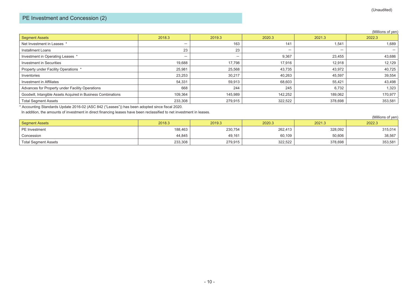# PE Investment and Concession (2)

#### (Millions of yen)

| <b>Segment Assets</b>                                         | 2018.3                   | 2019.3                   | 2020.3                   | 2021.3                   | 2022.3  |
|---------------------------------------------------------------|--------------------------|--------------------------|--------------------------|--------------------------|---------|
| Net Investment in Leases                                      | $\overline{\phantom{0}}$ | 163                      | 141                      | 1,541                    | 1,689   |
| Installment Loans                                             | 23                       | 23                       | $\overline{\phantom{0}}$ | $\overline{\phantom{m}}$ |         |
| Investment in Operating Leases *                              | $\overline{\phantom{0}}$ | $\overline{\phantom{0}}$ | 9,367                    | 23,455                   | 43,686  |
| <b>Investment in Securities</b>                               | 19,688                   | 17,798                   | 17,916                   | 12,918                   | 12,129  |
| Property under Facility Operations *                          | 25,981                   | 25,568                   | 43,735                   | 43,972                   | 40,725  |
| Inventories                                                   | 23,253                   | 30,217                   | 40,263                   | 45,597                   | 39,554  |
| Investment in Affiliates                                      | 54,331                   | 59,913                   | 68,603                   | 55,421                   | 43,498  |
| Advances for Property under Facility Operations               | 668                      | 244                      | 245                      | 6,732                    | 1,323   |
| Goodwill, Intangible Assets Acquired in Business Combinations | 109,364                  | 145,989                  | 142,252                  | 189,062                  | 170,977 |
| <b>Total Segment Assets</b>                                   | 233,308                  | 279,915                  | 322,522                  | 378,698                  | 353,581 |

\* Accounting Standards Update 2016-02 (ASC 842 ("Leases")) has been adopted since fiscal 2020.

In addition, the amounts of investment in direct financing leases have been reclassified to net investment in leases.

|                             |         |         |         |         | (Millions of yen) |
|-----------------------------|---------|---------|---------|---------|-------------------|
| Segment Assets              | 2018.3  | 2019.3  | 2020.3  | 2021.3  | 2022.3            |
| PE Investment               | 188,463 | 230,754 | 262,413 | 328,092 | 315,014           |
| Concession                  | 44,845  | 49,161  | 60,109  | 50,606  | 38,567            |
| <b>Total Segment Assets</b> | 233,308 | 279,915 | 322,522 | 378,698 | 353,581           |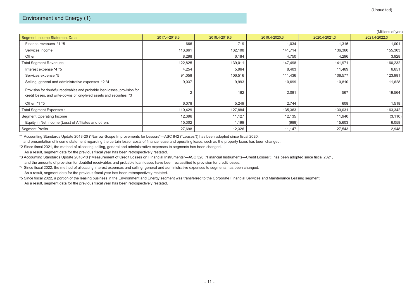|                                                                                                                                                     |               |               |               |               | (Millions of yen) |
|-----------------------------------------------------------------------------------------------------------------------------------------------------|---------------|---------------|---------------|---------------|-------------------|
| <b>Segment Income Statement Data</b>                                                                                                                | 2017.4-2018.3 | 2018.4-2019.3 | 2019.4-2020.3 | 2020.4-2021.3 | 2021.4-2022.3     |
| Finance revenues *1 *5                                                                                                                              | 666           | 719           | 1,034         | 1,315         | 1,001             |
| Services income                                                                                                                                     | 113,861       | 132,108       | 141,714       | 136,360       | 155,303           |
| Other                                                                                                                                               | 8,298         | 6,184         | 4,750         | 4,296         | 3,928             |
| Total Segment Revenues :                                                                                                                            | 122,825       | 139,011       | 147,498       | 141,971       | 160,232           |
| Interest expense *4 *5                                                                                                                              | 4,254         | 5,964         | 8,403         | 11,469        | 6,651             |
| Services expense *5                                                                                                                                 | 91,058        | 106,516       | 111,436       | 106,577       | 123,981           |
| Selling, general and administrative expenses *2 *4                                                                                                  | 9,037         | 9,993         | 10,699        | 10,810        | 11,628            |
| Provision for doubtful receivables and probable loan losses, provision for<br>credit losses, and write-downs of long-lived assets and securities *3 |               | 162           | 2,081         | 567           | 19,564            |
| Other *1 *5                                                                                                                                         | 6,078         | 5,249         | 2,744         | 608           | 1,518             |
| Total Segment Expenses :                                                                                                                            | 110,429       | 127,884       | 135,363       | 130,031       | 163,342           |
| Segment Operating Income                                                                                                                            | 12,396        | 11,127        | 12,135        | 11,940        | (3, 110)          |
| Equity in Net Income (Loss) of Affiliates and others                                                                                                | 15,302        | 1,199         | (988)         | 15,603        | 6,058             |
| <b>Segment Profits</b>                                                                                                                              | 27,698        | 12,326        | 11,147        | 27,543        | 2,948             |

\*1 Accounting Standards Update 2018-20 ("Narrow-Scope Improvements for Lessors"―ASC 842 ("Leases")) has been adopted since fiscal 2020,

and presentation of income statement regarding the certain lessor costs of finance lease and operating lease, such as the property taxes has been changed.

\*2 Since fiscal 2021, the method of allocating selling, general and administrative expenses to segments has been changed.

As a result, segment data for the previous fiscal year has been retrospectively restated.

\*3 Accounting Standards Update 2016-13 ("Measurement of Credit Losses on Financial Instruments"―ASC 326 ("Financial Instruments―Credit Losses")) has been adopted since fiscal 2021, and the amounts of provision for doubtful receivables and probable loan losses have been reclassified to provision for credit losses.

\*4 Since fiscal 2022, the method of allocating interest expenses and selling, general and administrative expenses to segments has been changed. As a result, segment data for the previous fiscal year has been retrospectively restated.

\*5 Since fiscal 2022, a portion of the leasing business in the Environment and Energy segment was transferred to the Corporate Financial Services and Maintenance Leasing segment. As a result, segment data for the previous fiscal year has been retrospectively restated.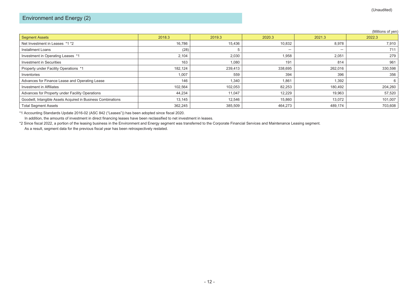|                                                               |         |         |         |                          | (Millions of yen) |
|---------------------------------------------------------------|---------|---------|---------|--------------------------|-------------------|
| <b>Segment Assets</b>                                         | 2018.3  | 2019.3  | 2020.3  | 2021.3                   | 2022.3            |
| Net Investment in Leases *1 *2                                | 16,786  | 15,436  | 10,832  | 8,978                    | 7,910             |
| Installment Loans                                             | (28)    |         | —       | $\overline{\phantom{0}}$ | 711               |
| Investment in Operating Leases *1                             | 2,104   | 2,030   | 1,958   | 2,051                    | 279               |
| Investment in Securities                                      | 163     | 1,080   | 191     | 814                      | 961               |
| Property under Facility Operations *1                         | 182,124 | 239,413 | 338,695 | 262,016                  | 330,598           |
| Inventories                                                   | 1,007   | 559     | 394     | 396                      | 356               |
| Advances for Finance Lease and Operating Lease                | 146     | 1,340   | 1,861   | 1,392                    | 6                 |
| Investment in Affiliates                                      | 102,564 | 102,053 | 82,253  | 180,492                  | 204,260           |
| Advances for Property under Facility Operations               | 44,234  | 11,047  | 12,229  | 19,963                   | 57,520            |
| Goodwill, Intangible Assets Acquired in Business Combinations | 13,145  | 12,546  | 15,860  | 13,072                   | 101,007           |
| <b>Total Segment Assets</b>                                   | 362,245 | 385,509 | 464,273 | 489,174                  | 703,608           |

\*1 Accounting Standards Update 2016-02 (ASC 842 ("Leases")) has been adopted since fiscal 2020.

In addition, the amounts of investment in direct financing leases have been reclassified to net investment in leases.

\*2 Since fiscal 2022, a portion of the leasing business in the Environment and Energy segment was transferred to the Corporate Financial Services and Maintenance Leasing segment.

As a result, segment data for the previous fiscal year has been retrospectively restated.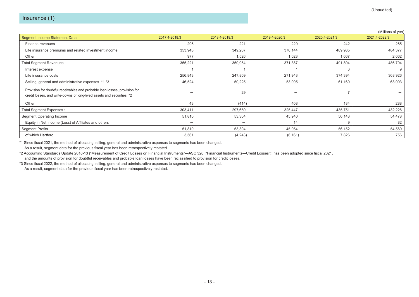|                                                                                                                                                     |               |                          |                          |               | (Millions of yen) |
|-----------------------------------------------------------------------------------------------------------------------------------------------------|---------------|--------------------------|--------------------------|---------------|-------------------|
| Segment Income Statement Data                                                                                                                       | 2017.4-2018.3 | 2018.4-2019.3            | 2019.4-2020.3            | 2020.4-2021.3 | 2021.4-2022.3     |
| Finance revenues                                                                                                                                    | 296           | 221                      | 220                      | 242           | 265               |
| Life insurance premiums and related investment income                                                                                               | 353,948       | 349,207                  | 370,144                  | 489,985       | 484,377           |
| Other                                                                                                                                               | 977           | 1,526                    | 1,023                    | 1,667         | 2,062             |
| Total Segment Revenues :                                                                                                                            | 355,221       | 350,954                  | 371,387                  | 491,894       | 486,704           |
| Interest expense                                                                                                                                    |               |                          |                          | 6             | 9                 |
| Life insurance costs                                                                                                                                | 256,843       | 247,809                  | 271,943                  | 374,394       | 368,926           |
| Selling, general and administrative expenses *1 *3                                                                                                  | 46,524        | 50,225                   | 53,095                   | 61,160        | 63,003            |
| Provision for doubtful receivables and probable loan losses, provision for<br>credit losses, and write-downs of long-lived assets and securities *2 | -             | 29                       | $\overline{\phantom{0}}$ |               |                   |
| Other                                                                                                                                               | 43            | (414)                    | 408                      | 184           | 288               |
| Total Segment Expenses :                                                                                                                            | 303,411       | 297,650                  | 325,447                  | 435,751       | 432,226           |
| Segment Operating Income                                                                                                                            | 51,810        | 53,304                   | 45,940                   | 56,143        | 54,478            |
| Equity in Net Income (Loss) of Affiliates and others                                                                                                | -             | $\overline{\phantom{0}}$ | 14                       | 9             | 82                |
| <b>Segment Profits</b>                                                                                                                              | 51,810        | 53,304                   | 45,954                   | 56,152        | 54,560            |
| of which Hartford                                                                                                                                   | 3,561         | (4,243)                  | (6, 161)                 | 7,826         | 756               |

\*1 Since fiscal 2021, the method of allocating selling, general and administrative expenses to segments has been changed.

As a result, segment data for the previous fiscal year has been retrospectively restated.

\*2 Accounting Standards Update 2016-13 ("Measurement of Credit Losses on Financial Instruments"―ASC 326 ("Financial Instruments―Credit Losses")) has been adopted since fiscal 2021, and the amounts of provision for doubtful receivables and probable loan losses have been reclassified to provision for credit losses.

\*3 Since fiscal 2022, the method of allocating selling, general and administrative expenses to segments has been changed.

As a result, segment data for the previous fiscal year has been retrospectively restated.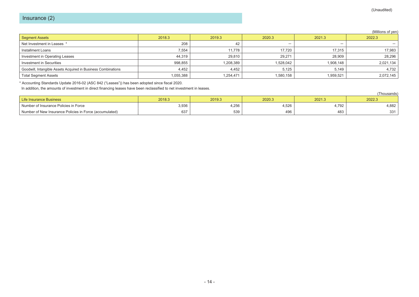#### (Millions of yen)

| Segment Assets                                                | 2018.3    | 2019.3    | 2020.3                   | 2021.3                   | 2022.3    |
|---------------------------------------------------------------|-----------|-----------|--------------------------|--------------------------|-----------|
| Net Investment in Leases *                                    | 208       | 42        | $\overline{\phantom{0}}$ | $\overline{\phantom{0}}$ |           |
| Installment Loans                                             | 7,554     | 11,778    | 17.720                   | 17.315                   | 17,983    |
| Investment in Operating Leases                                | 44.319    | 29,810    | 29.271                   | 28.909                   | 28,296    |
| Investment in Securities                                      | 998,855   | 1,208,389 | 1,528,042                | 1,908,148                | 2,021,134 |
| Goodwill, Intangible Assets Acquired in Business Combinations | 4,452     | 4,452     | 5,125                    | 5,149                    | 4,732     |
| <b>Total Segment Assets</b>                                   | 1,055,388 | 1,254,471 | 1,580,158                | 1,959,521                | 2,072,145 |

\* Accounting Standards Update 2016-02 (ASC 842 ("Leases")) has been adopted since fiscal 2020.

In addition, the amounts of investment in direct financing leases have been reclassified to net investment in leases.

|                                                         |        |        |        |        | 'Thousands) |
|---------------------------------------------------------|--------|--------|--------|--------|-------------|
| Life Insurance Business                                 | 2018.3 | 2019.3 | 2020.3 | 2021.3 | 2022.3      |
| Number of Insurance Policies in Force                   | 3,936  | 4,256  | 4,526  | .792   | 4,882       |
| Number of New Insurance Policies in Force (accumulated) | 637    | 539    | 496    | 483    | 331         |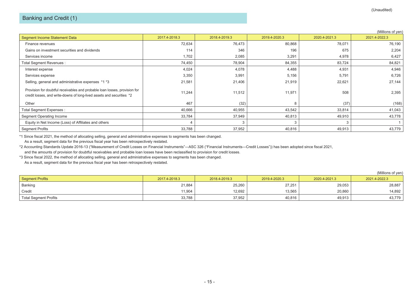|                                                                                                                                                     |               |               |               |               | (Millions of yen) |
|-----------------------------------------------------------------------------------------------------------------------------------------------------|---------------|---------------|---------------|---------------|-------------------|
| <b>Segment Income Statement Data</b>                                                                                                                | 2017.4-2018.3 | 2018.4-2019.3 | 2019.4-2020.3 | 2020.4-2021.3 | 2021.4-2022.3     |
| Finance revenues                                                                                                                                    | 72,634        | 76,473        | 80,868        | 78,071        | 76,190            |
| Gains on investment securities and dividends                                                                                                        | 114           | 346           | 196           | 675           | 2,204             |
| Services income                                                                                                                                     | 1,702         | 2,085         | 3,291         | 4,978         | 6,427             |
| Total Segment Revenues :                                                                                                                            | 74,450        | 78,904        | 84,355        | 83,724        | 84,821            |
| Interest expense                                                                                                                                    | 4,024         | 4,078         | 4,488         | 4,931         | 4,946             |
| Services expense                                                                                                                                    | 3,350         | 3,991         | 5,156         | 5,791         | 6,726             |
| Selling, general and administrative expenses *1 *3                                                                                                  | 21,581        | 21,406        | 21,919        | 22,621        | 27,144            |
| Provision for doubtful receivables and probable loan losses, provision for<br>credit losses, and write-downs of long-lived assets and securities *2 | 11,244        | 11,512        | 11,971        | 508           | 2,395             |
| Other                                                                                                                                               | 467           | (32)          | 8             | (37)          | (168)             |
| Total Segment Expenses :                                                                                                                            | 40,666        | 40,955        | 43,542        | 33,814        | 41,043            |
| <b>Segment Operating Income</b>                                                                                                                     | 33,784        | 37,949        | 40,813        | 49,910        | 43,778            |
| Equity in Net Income (Loss) of Affiliates and others                                                                                                |               |               |               |               |                   |
| <b>Segment Profits</b>                                                                                                                              | 33,788        | 37,952        | 40,816        | 49,913        | 43,779            |

\*1 Since fiscal 2021, the method of allocating selling, general and administrative expenses to segments has been changed.

As a result, segment data for the previous fiscal year has been retrospectively restated.

\*2 Accounting Standards Update 2016-13 ("Measurement of Credit Losses on Financial Instruments"―ASC 326 ("Financial Instruments―Credit Losses")) has been adopted since fiscal 2021, and the amounts of provision for doubtful receivables and probable loan losses have been reclassified to provision for credit losses.

\*3 Since fiscal 2022, the method of allocating selling, general and administrative expenses to segments has been changed.

As a result, segment data for the previous fiscal year has been retrospectively restated.

|                              |               |               |               |               | (Millions of ven) |
|------------------------------|---------------|---------------|---------------|---------------|-------------------|
| Segment Profits              | 2017.4-2018.3 | 2018.4-2019.3 | 2019.4-2020.3 | 2020.4-2021.3 | 2021.4-2022.3     |
| Banking                      | 21,884        | 25,260        | 27.251        | 29.053        | 28.887            |
| Credit                       | 11.904        | 12.692        | 13,565        | 20.860        | 14,892            |
| <b>Total Segment Profits</b> | 33,788        | 37,952        | 40,816        | 49,913        | 43,779            |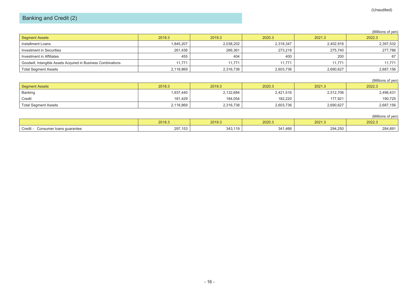# Banking and Credit (2)

#### (Millions of yen)

| Segment Assets                                                | 2018.3    | 2019.3    | 2020.3    | 2021.3    | 2022.3    |
|---------------------------------------------------------------|-----------|-----------|-----------|-----------|-----------|
| Installment Loans                                             | 1,845,207 | 2,038,202 | 2,318,347 | 2,402,916 | 2,397,532 |
| Investment in Securities                                      | 261.436   | 266.361   | 273.218   | 275.740   | 277,786   |
| Investment in Affiliates                                      | 455       | 404       | 400       | 200       | 67        |
| Goodwill, Intangible Assets Acquired in Business Combinations | 11.771    | 11.771    | 11,771    | 11.771    | 11.771    |
| <b>Total Segment Assets</b>                                   | 2,118,869 | 2,316,738 | 2,603,736 | 2,690,627 | 2,687,156 |

#### (Millions of yen)

| Segment Assets              | 2018.3    | 2019.3    | 2020.3    | 2021.3    | 2022.3    |
|-----------------------------|-----------|-----------|-----------|-----------|-----------|
| Banking                     | 1,937,440 | 2,132,684 | 2,421,516 | 2,512,706 | 2,496,431 |
| Credit                      | 181.429   | 184,054   | 182.220   | 177.921   | 190,725   |
| <b>Total Segment Assets</b> | 2,118,869 | 2,316,738 | 2,603,736 | 2,690,627 | 2,687,156 |

#### (Millions of yen)

|                                   | 2018.3  | 2019.3           | 2020.3  | 2021.3             | 2022.3  |
|-----------------------------------|---------|------------------|---------|--------------------|---------|
| Credi<br>Consumer Ioans quarantee | 297,153 | 343.119<br>343.1 | 341,466 | 201.25c<br>Z94,ZJU | 284,891 |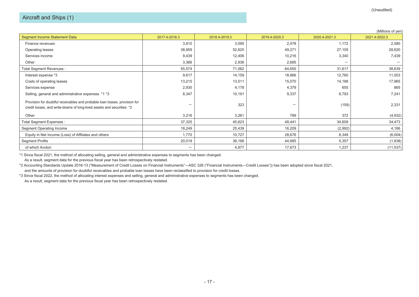|                                                                                                                                                     |               |               |               |               | (Millions of yen) |
|-----------------------------------------------------------------------------------------------------------------------------------------------------|---------------|---------------|---------------|---------------|-------------------|
| Segment Income Statement Data                                                                                                                       | 2017.4-2018.3 | 2018.4-2019.3 | 2019.4-2020.3 | 2020.4-2021.3 | 2021.4-2022.3     |
| Finance revenues                                                                                                                                    | 3,810         | 3,095         | 2,478         | 1,172         | 2,580             |
| <b>Operating leases</b>                                                                                                                             | 38,959        | 52,625        | 49,271        | 27,105        | 28,620            |
| Services income                                                                                                                                     | 9,439         | 12,406        | 10,216        | 3,340         | 7,439             |
| Other                                                                                                                                               | 3,366         | 2,936         | 2,685         |               |                   |
| Total Segment Revenues :                                                                                                                            | 55,574        | 71,062        | 64,650        | 31,617        | 38,639            |
| Interest expense *3                                                                                                                                 | 9,617         | 14,159        | 18,866        | 12,760        | 11,003            |
| Costs of operating leases                                                                                                                           | 13,215        | 13,511        | 15,070        | 14,188        | 17,965            |
| Services expense                                                                                                                                    | 2,930         | 4,178         | 4,379         | 655           | 865               |
| Selling, general and administrative expenses *1 *3                                                                                                  | 8,347         | 10,191        | 9,337         | 6,793         | 7,241             |
| Provision for doubtful receivables and probable loan losses, provision for<br>credit losses, and write-downs of long-lived assets and securities *2 | -             | 323           | -             | (159)         | 2,331             |
| Other                                                                                                                                               | 3,216         | 3,261         | 789           | 372           | (4,932)           |
| Total Segment Expenses :                                                                                                                            | 37,325        | 45,623        | 48,441        | 34,609        | 34,473            |
| Segment Operating Income                                                                                                                            | 18,249        | 25,439        | 16,209        | (2,992)       | 4,166             |
| Equity in Net Income (Loss) of Affiliates and others                                                                                                | 1,770         | 10,727        | 28,676        | 8,349         | (6,004)           |
| <b>Segment Profits</b>                                                                                                                              | 20,019        | 36,166        | 44,885        | 5,357         | (1,838)           |
| of which Avolon                                                                                                                                     | -             | 4,877         | 17,673        | 1,237         | (11, 537)         |

\*1 Since fiscal 2021, the method of allocating selling, general and administrative expenses to segments has been changed.

As a result, segment data for the previous fiscal year has been retrospectively restated.

\*2 Accounting Standards Update 2016-13 ("Measurement of Credit Losses on Financial Instruments"―ASC 326 ("Financial Instruments―Credit Losses")) has been adopted since fiscal 2021, and the amounts of provision for doubtful receivables and probable loan losses have been reclassified to provision for credit losses.

\*3 Since fiscal 2022, the method of allocating interest expenses and selling, general and administrative expenses to segments has been changed. As a result, segment data for the previous fiscal year has been retrospectively restated.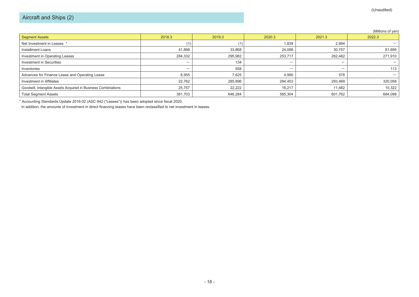|                                                               |         |         |                          |                          | (Millions of yen) |
|---------------------------------------------------------------|---------|---------|--------------------------|--------------------------|-------------------|
| <b>Segment Assets</b>                                         | 2018.3  | 2019.3  | 2020.3                   | 2021.3                   | 2022.3            |
| Net Investment in Leases *                                    |         |         | 1,839                    | 2,994                    |                   |
| Installment Loans                                             | 41,898  | 33,868  | 24,088                   | 30,757                   | 81,695            |
| Investment in Operating Leases                                | 284,332 | 295,982 | 253,717                  | 262,482                  | 271,910           |
| <b>Investment in Securities</b>                               | -       | 134     | $\overline{\phantom{0}}$ | $\overline{\phantom{0}}$ |                   |
| Inventories                                                   | -       | 558     | $\overline{\phantom{0}}$ | $\overline{\phantom{0}}$ | 113               |
| Advances for Finance Lease and Operating Lease                | 6,955   | 7,625   | 4,990                    | 578                      |                   |
| Investment in Affiliates                                      | 22,762  | 285,896 | 284,453                  | 293,469                  | 320,058           |
| Goodwill, Intangible Assets Acquired in Business Combinations | 25,757  | 22,222  | 16,217                   | 11.482                   | 10,322            |
| <b>Total Segment Assets</b>                                   | 381,703 | 646.284 | 585,304                  | 601,762                  | 684,098           |

\* Accounting Standards Update 2016-02 (ASC 842 ("Leases")) has been adopted since fiscal 2020.

In addition, the amounts of investment in direct financing leases have been reclassified to net investment in leases.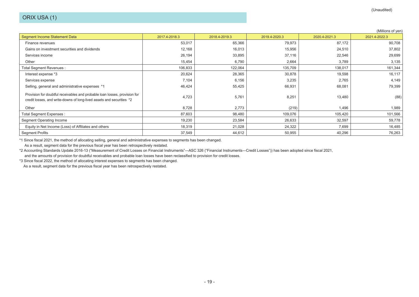|                                                                                                                                                     |               |               |               |               | (Millions of yen) |
|-----------------------------------------------------------------------------------------------------------------------------------------------------|---------------|---------------|---------------|---------------|-------------------|
| Segment Income Statement Data                                                                                                                       | 2017.4-2018.3 | 2018.4-2019.3 | 2019.4-2020.3 | 2020.4-2021.3 | 2021.4-2022.3     |
| Finance revenues                                                                                                                                    | 53,017        | 65,366        | 79,973        | 87,172        | 90,708            |
| Gains on investment securities and dividends                                                                                                        | 12,168        | 16,013        | 15,956        | 24,510        | 37,802            |
| Services income                                                                                                                                     | 26,194        | 33,895        | 37,116        | 22,546        | 29,699            |
| Other                                                                                                                                               | 15,454        | 6,790         | 2,664         | 3,789         | 3,135             |
| Total Segment Revenues:                                                                                                                             | 106,833       | 122,064       | 135,709       | 138,017       | 161,344           |
| Interest expense *3                                                                                                                                 | 20,624        | 28,365        | 30,878        | 19,598        | 16,117            |
| Services expense                                                                                                                                    | 7,104         | 6,156         | 3,235         | 2,765         | 4,149             |
| Selling, general and administrative expenses *1                                                                                                     | 46,424        | 55,425        | 66,931        | 68,081        | 79,399            |
| Provision for doubtful receivables and probable loan losses, provision for<br>credit losses, and write-downs of long-lived assets and securities *2 | 4,723         | 5,761         | 8,251         | 13,480        | (88)              |
| Other                                                                                                                                               | 8,728         | 2,773         | (219)         | 1,496         | 1,989             |
| Total Segment Expenses :                                                                                                                            | 87,603        | 98,480        | 109,076       | 105,420       | 101,566           |
| <b>Segment Operating Income</b>                                                                                                                     | 19,230        | 23,584        | 26,633        | 32,597        | 59,778            |
| Equity in Net Income (Loss) of Affiliates and others                                                                                                | 18,319        | 21,028        | 24,322        | 7,699         | 16,485            |
| <b>Segment Profits</b>                                                                                                                              | 37,549        | 44,612        | 50,955        | 40,296        | 76,263            |

\*1 Since fiscal 2021, the method of allocating selling, general and administrative expenses to segments has been changed.

As a result, segment data for the previous fiscal year has been retrospectively restated.

\*2 Accounting Standards Update 2016-13 ("Measurement of Credit Losses on Financial Instruments"―ASC 326 ("Financial Instruments―Credit Losses")) has been adopted since fiscal 2021,

and the amounts of provision for doubtful receivables and probable loan losses have been reclassified to provision for credit losses.

\*3 Since fiscal 2022, the method of allocating interest expenses to segments has been changed.

As a result, segment data for the previous fiscal year has been retrospectively restated.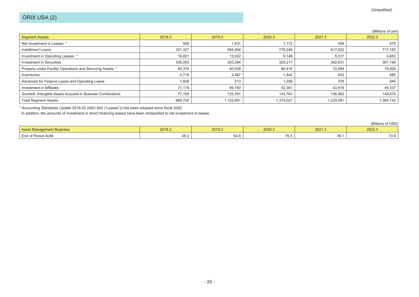|                                                               |         |          |           |           | (Millions of yen) |
|---------------------------------------------------------------|---------|----------|-----------|-----------|-------------------|
| <b>Segment Assets</b>                                         | 2018.3  | 2019.3   | 2020.3    | 2021.3    | 2022.3            |
| Net Investment in Leases *                                    | 508     | 1,631    | 1,172     | 458       | 475               |
| Installment Loans                                             | 321,327 | 594,264  | 778,249   | 617,822   | 717,183           |
| Investment in Operating Leases *                              | 16,801  | 13,022   | 9,148     | 5,317     | 4,653             |
| <b>Investment in Securities</b>                               | 335,053 | 305,294  | 320,217   | 342,631   | 367,190           |
| Property under Facility Operations and Servicing Assets *     | 40,374  | 40,539   | 66,416    | 72,094    | 79,000            |
| Inventories                                                   | 5,718   | 2,487    | 1,442     | 603       | 685               |
| Advances for Finance Lease and Operating Lease                | 1,608   | 513      | 1,259     | 378       | 945               |
| Investment in Affiliates                                      | 71,179  | 69,750   | 52,361    | 43,816    | 45,337            |
| Goodwill, Intangible Assets Acquired in Business Combinations | 77,158  | 125,391  | 143,763   | 136,962   | 148,674           |
| <b>Total Segment Assets</b>                                   | 869,726 | .152,891 | 1,374,027 | 1,220,081 | 1,364,142         |

\* Accounting Standards Update 2016-02 (ASC 842 ("Leases")) has been adopted since fiscal 2020.

In addition, the amounts of investment in direct financing leases have been reclassified to net investment in leases.

(Billions of USD) Asset Management Business 2018.3 2019.3 2020.3 2021.3 2022.3 End of Period AUM 48.3 54.8 76.5 78.1 73.9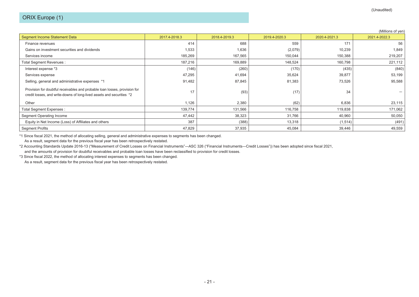|                                                                                                                                                     |               |               |               |               | (Millions of yen) |
|-----------------------------------------------------------------------------------------------------------------------------------------------------|---------------|---------------|---------------|---------------|-------------------|
| Segment Income Statement Data                                                                                                                       | 2017.4-2018.3 | 2018.4-2019.3 | 2019.4-2020.3 | 2020.4-2021.3 | 2021.4-2022.3     |
| Finance revenues                                                                                                                                    | 414           | 688           | 559           | 171           | 56                |
| Gains on investment securities and dividends                                                                                                        | 1,533         | 1,636         | (2,079)       | 10,239        | 1,849             |
| Services income                                                                                                                                     | 185,269       | 167,565       | 150,044       | 150,388       | 219,207           |
| Total Segment Revenues :                                                                                                                            | 187,216       | 169,889       | 148,524       | 160,798       | 221,112           |
| Interest expense *3                                                                                                                                 | (146)         | (260)         | (170)         | (435)         | (840)             |
| Services expense                                                                                                                                    | 47,295        | 41,694        | 35,624        | 39,877        | 53,199            |
| Selling, general and administrative expenses *1                                                                                                     | 91,482        | 87,845        | 81,383        | 73,526        | 95,588            |
| Provision for doubtful receivables and probable loan losses, provision for<br>credit losses, and write-downs of long-lived assets and securities *2 | 17            | (93)          | (17)          | 34            |                   |
| Other                                                                                                                                               | 1,126         | 2,380         | (62)          | 6,836         | 23,115            |
| Total Segment Expenses :                                                                                                                            | 139,774       | 131,566       | 116,758       | 119,838       | 171,062           |
| Segment Operating Income                                                                                                                            | 47,442        | 38,323        | 31,766        | 40,960        | 50,050            |
| Equity in Net Income (Loss) of Affiliates and others                                                                                                | 387           | (388)         | 13,318        | (1, 514)      | (491)             |
| <b>Segment Profits</b>                                                                                                                              | 47,829        | 37,935        | 45,084        | 39,446        | 49,559            |

\*1 Since fiscal 2021, the method of allocating selling, general and administrative expenses to segments has been changed.

As a result, segment data for the previous fiscal year has been retrospectively restated.

\*2 Accounting Standards Update 2016-13 ("Measurement of Credit Losses on Financial Instruments"―ASC 326 ("Financial Instruments―Credit Losses")) has been adopted since fiscal 2021, and the amounts of provision for doubtful receivables and probable loan losses have been reclassified to provision for credit losses.

\*3 Since fiscal 2022, the method of allocating interest expenses to segments has been changed.

As a result, segment data for the previous fiscal year has been retrospectively restated.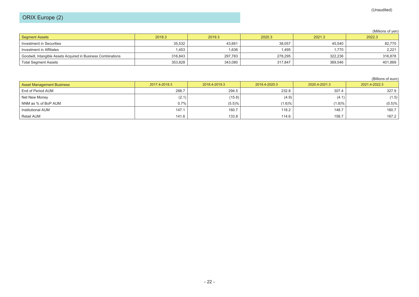# ORIX Europe (2)

#### (Millions of yen)

| Segment Assets                                                | 2018.3  | 2019.3  | 2020.3  | 2021.3  | 2022.3  |
|---------------------------------------------------------------|---------|---------|---------|---------|---------|
| Investment in Securities                                      | 35,532  | 43,661  | 38,057  | 45.540  | 82,770  |
| Investment in Affiliates                                      | .453    | 1,636   | .495    | .770    | 2,221   |
| Goodwill, Intangible Assets Acquired in Business Combinations | 316.843 | 297,783 | 278,295 | 322,236 | 316,878 |
| <b>Total Segment Assets</b>                                   | 353,828 | 343,080 | 317,847 | 369,546 | 401,869 |

#### (Billions of euro)

| <b>Asset Management Business</b> | 2017.4-2018.3 | 2018.4-2019.3 | 2019.4-2020.3 | 2020.4-2021.3 | 2021.4-2022.3 |
|----------------------------------|---------------|---------------|---------------|---------------|---------------|
| End of Period AUM                | 288.7         | 294.5         | 232.8         | 307.4         | 327.9         |
| Net New Money                    | (2.1)         | (15.8)        | (4.9)         | (4.1)         | (1.5)         |
| NNM as % of BoP AUM              | 0.7%          | (5.5)%        | (1.6)%        | (1.8)%        | (0.5)%        |
| Institutional AUM                | 147.1         | 160.7         | 118.2         | 148.7         | 160.7         |
| Retail AUM                       | 141.6         | 133.8         | 114.6         | 158.7         | 167.2         |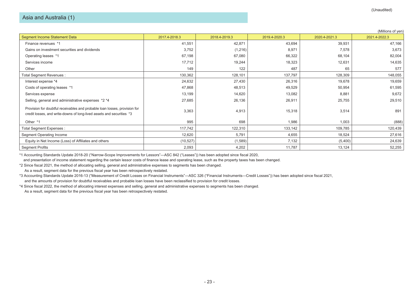|                                                                                                                                                     |               |               |               |               | (Millions of yen) |
|-----------------------------------------------------------------------------------------------------------------------------------------------------|---------------|---------------|---------------|---------------|-------------------|
| <b>Segment Income Statement Data</b>                                                                                                                | 2017.4-2018.3 | 2018.4-2019.3 | 2019.4-2020.3 | 2020.4-2021.3 | 2021.4-2022.3     |
| Finance revenues *1                                                                                                                                 | 41,551        | 42,871        | 43,694        | 39,931        | 47,166            |
| Gains on investment securities and dividends                                                                                                        | 3,752         | (1,216)       | 8,971         | 7,578         | 3,673             |
| Operating leases *1                                                                                                                                 | 67,198        | 67,080        | 66,322        | 68,104        | 82,004            |
| Services income                                                                                                                                     | 17,712        | 19,244        | 18,323        | 12,631        | 14,635            |
| Other                                                                                                                                               | 149           | 122           | 487           | 65            | 577               |
| Total Segment Revenues :                                                                                                                            | 130,362       | 128,101       | 137,797       | 128,309       | 148,055           |
| Interest expense *4                                                                                                                                 | 24,632        | 27,430        | 26,316        | 19,678        | 19,659            |
| Costs of operating leases *1                                                                                                                        | 47,868        | 48,513        | 49,529        | 50,954        | 61,595            |
| Services expense                                                                                                                                    | 13,199        | 14,620        | 13,082        | 8,881         | 9,672             |
| Selling, general and administrative expenses *2 *4                                                                                                  | 27,685        | 26,136        | 26,911        | 25,755        | 29,510            |
| Provision for doubtful receivables and probable loan losses, provision for<br>credit losses, and write-downs of long-lived assets and securities *3 | 3,363         | 4,913         | 15,318        | 3,514         | 891               |
| Other *1                                                                                                                                            | 995           | 698           | 1,986         | 1,003         | (888)             |
| Total Segment Expenses :                                                                                                                            | 117,742       | 122,310       | 133,142       | 109,785       | 120,439           |
| Segment Operating Income                                                                                                                            | 12,620        | 5,791         | 4,655         | 18,524        | 27,616            |
| Equity in Net Income (Loss) of Affiliates and others                                                                                                | (10, 527)     | (1,589)       | 7,132         | (5,400)       | 24,639            |
| <b>Segment Profits</b>                                                                                                                              | 2,093         | 4,202         | 11,787        | 13,124        | 52,255            |

\*1 Accounting Standards Update 2018-20 ("Narrow-Scope Improvements for Lessors"―ASC 842 ("Leases")) has been adopted since fiscal 2020,

and presentation of income statement regarding the certain lessor costs of finance lease and operating lease, such as the property taxes has been changed.

\*2 Since fiscal 2021, the method of allocating selling, general and administrative expenses to segments has been changed.

As a result, segment data for the previous fiscal year has been retrospectively restated.

\*3 Accounting Standards Update 2016-13 ("Measurement of Credit Losses on Financial Instruments"―ASC 326 ("Financial Instruments―Credit Losses")) has been adopted since fiscal 2021,

and the amounts of provision for doubtful receivables and probable loan losses have been reclassified to provision for credit losses.

\*4 Since fiscal 2022, the method of allocating interest expenses and selling, general and administrative expenses to segments has been changed.

As a result, segment data for the previous fiscal year has been retrospectively restated.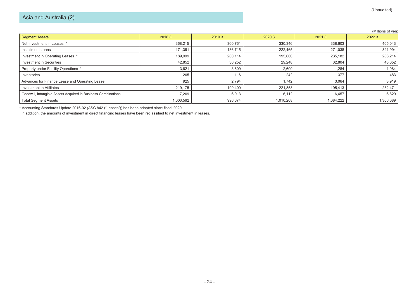|                                                               |           |         |           |           | (Millions of yen) |
|---------------------------------------------------------------|-----------|---------|-----------|-----------|-------------------|
| <b>Segment Assets</b>                                         | 2018.3    | 2019.3  | 2020.3    | 2021.3    | 2022.3            |
| Net Investment in Leases *                                    | 368,215   | 360,761 | 330,346   | 338,603   | 405,043           |
| Installment Loans                                             | 171,361   | 186,715 | 222,465   | 271,038   | 321,994           |
| Investment in Operating Leases *                              | 189,999   | 200,114 | 195,660   | 235,182   | 286,214           |
| Investment in Securities                                      | 42,852    | 36,252  | 29,248    | 32,804    | 48,052            |
| Property under Facility Operations *                          | 3,621     | 3,609   | 2,600     | 1,284     | 1,084             |
| Inventories                                                   | 205       | 116     | 242       | 377       | 483               |
| Advances for Finance Lease and Operating Lease                | 925       | 2,794   | 1,742     | 3,064     | 3,919             |
| Investment in Affiliates                                      | 219,175   | 199,400 | 221,853   | 195,413   | 232,471           |
| Goodwill, Intangible Assets Acquired in Business Combinations | 7,209     | 6,913   | 6,112     | 6,457     | 6,829             |
| <b>Total Segment Assets</b>                                   | 1,003,562 | 996,674 | 1,010,268 | 1,084,222 | 1,306,089         |

\* Accounting Standards Update 2016-02 (ASC 842 ("Leases")) has been adopted since fiscal 2020.

In addition, the amounts of investment in direct financing leases have been reclassified to net investment in leases.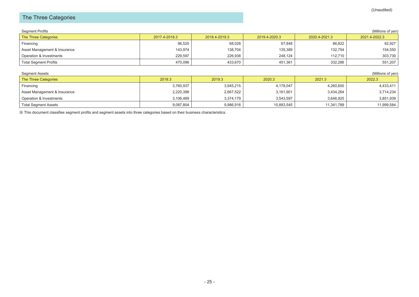# The Three Categories

| <b>Segment Profits</b> |  |
|------------------------|--|
|                        |  |

| Segment Profits              |               |               |               |               | (Millions of yen) |
|------------------------------|---------------|---------------|---------------|---------------|-------------------|
| The Three Categories         | 2017.4-2018.3 | 2018.4-2019.3 | 2019.4-2020.3 | 2020.4-2021.3 | 2021.4-2022.3     |
| Financing                    | 96,525        | 68,028        | 67,848        | 86,822        | 92,927            |
| Asset Management & Insurance | 143,974       | 138,704       | 135,389       | 132,754       | 154,550           |
| Operation & Investments      | 229.597       | 226.938       | 248.124       | 112.710       | 303,730           |
| Total Segment Profits        | 470.096       | 433.670       | 451,361       | 332.286       | 551,207           |

| (Millions of yen)<br>Segment Assets |           |           |            |            |            |  |  |
|-------------------------------------|-----------|-----------|------------|------------|------------|--|--|
| <b>The Three Categories</b>         | 2018.3    | 2019.3    | 2020.3     | 2021.3     | 2022.3     |  |  |
| Financing                           | 3,760,937 | 3,945,215 | 4,178,047  | 4,260,600  | 4,433,411  |  |  |
| Asset Management & Insurance        | 2,220,398 | 2,667,522 | 3,161,901  | 3,434,264  | 3,714,234  |  |  |
| Operation & Investments             | 3,106,469 | 3,374,179 | 3,543,597  | 3,646,925  | 3,851,939  |  |  |
| <b>Total Segment Assets</b>         | 9,087,804 | 9,986,916 | 10,883,545 | 11,341,789 | 11,999,584 |  |  |

※ This document classifies segment profits and segment assets into three categories based on their business characteristics.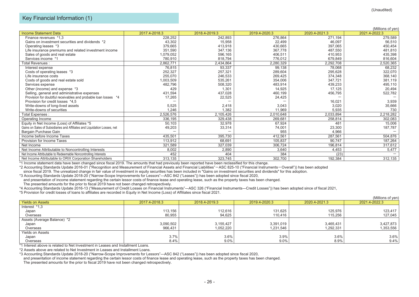#### Key Financial Information (1)

|               |                                          |                         |                                               | (Millions of yen)                            |
|---------------|------------------------------------------|-------------------------|-----------------------------------------------|----------------------------------------------|
| 2017.4-2018.3 | 2018.4-2019.3                            | 2019.4-2020.3           | 2020.4-2021.3                                 | 2021.4-2022.3                                |
| 228,252       | 242,893                                  | 276,864                 | 271,194                                       | 279,589                                      |
| 43,302        | 15,958                                   | 22,499                  | 46,097                                        | 56,510                                       |
| 379,665       | 413,918                                  | 430,665                 | 397,065                                       | 450,454                                      |
| 351,590       | 347,136                                  | 367,778                 | 487,550                                       | 481,810                                      |
| 1,079,052     | 596,165                                  | 406,511                 | 410,953                                       | 435,398                                      |
| 780,910       | 818,794                                  | 776,012                 | 679.849                                       | 816,604                                      |
| 2,862,771     | 2,434,864                                | 2,280,329               | 2,292,708                                     | 2,520,365                                    |
| 76,815        | 93,337                                   | 99,138                  | 78,068                                        | 68,232                                       |
| 252,327       | 257,321                                  | 289,604                 | 295,628                                       | 322,070                                      |
| 255,070       | 246,533                                  | 269,425                 | 374,348                                       | 368,140                                      |
| 1,003,509     | 535,261                                  | 354,006                 | 347,721                                       | 381,119                                      |
| 482,796       | 508,320                                  | 483,914                 | 439,233                                       | 495,110                                      |
|               | 1,301                                    |                         |                                               | 20,494                                       |
| 431.594       | 437.028                                  |                         |                                               | 522,782                                      |
|               | 22,525                                   | 24,425                  |                                               |                                              |
|               |                                          |                         | 16,021                                        | 3,939                                        |
|               |                                          |                         |                                               | 35,666                                       |
|               |                                          |                         |                                               | 730                                          |
| 2,526,576     | 2,105,426                                | 2,010,648               | 2,033,894                                     | 2,218,282                                    |
| 336,195       | 329,438                                  | 269,681                 | 258,814                                       | 302,083                                      |
| 50.103        | 32,978                                   | 67,924                  | 481                                           | 15,006                                       |
| 49,203        | 33,314                                   | 74,001                  | 23,300                                        | 187,787                                      |
|               |                                          | 955                     | 4,966                                         |                                              |
| 435,501       | 395,730                                  | 412,561                 | 287,561                                       | 504,876                                      |
| 113,912       | 68,691                                   | 105,837                 | 90,747                                        | 187,264                                      |
| 321,589       | 327.039                                  | 306,724                 | 196,814                                       | 317,612                                      |
|               |                                          |                         |                                               | 5,477                                        |
| 452           | 404                                      | 384                     | (23)                                          |                                              |
| 313,135       | 323,745                                  | 302,700                 | 192,384                                       | 312,135                                      |
|               | 429<br>17,265<br>5,525<br>1,246<br>8,002 | 2,418<br>1,382<br>2,890 | 14,925<br>460,199<br>3,043<br>11,969<br>3,640 | 17,125<br>456,795<br>3,020<br>5,935<br>4,453 |

\*1 Income statement data have been changed since fiscal 2019. The amounts that had previously been reported have been reclassified for this change.

\*2 Accounting Standards Update 2016-01 ("Recognition and Measurement of Financial Assets and Financial Liabilities"-ASC 825-10 ("Financial Instruments-Overall")) has been adopted

since fiscal 2019. The unrealized change in fair value of investment in equity securities has been included in "Gains on investment securities and dividends" for this adoption.

\*3 Accounting Standards Update 2018-20 ("Narrow-Scope Improvements for Lessors"―ASC 842 ("Leases")) has been adopted since fiscal 2020,

and presentation of income statement regarding the certain lessor costs of finance lease and operating lease, such as the property taxes has been changed.

The presented amounts for the prior to fiscal 2019 have not been changed retrospectively.

\*4 Accounting Standards Update 2016-13 ("Measurement of Credit Losses on Financial Instruments"―ASC 326 ("Financial Instruments―Credit Losses")) has been adopted since of fiscal 2021,

\*5 Provision for credit losses of loans to affiliates are recorded in Equity in Net Income (Loss) of Affiliates since fiscal 2021.

|                             |               |               |               |               | (Millions of yen) |
|-----------------------------|---------------|---------------|---------------|---------------|-------------------|
| <b>Yields on Assets</b>     | 2017.4-2018.3 | 2018.4-2019.3 | 2019.4-2020.3 | 2020.4-2021.3 | 2021.4-2022.3     |
| Interest *1,3               |               |               |               |               |                   |
| Japan                       | 113,156       | 112,616       | 131,625       | 125,976       | 123,417           |
| Overseas                    | 80,955        | 94,625        | 110,416       | 115,256       | 127,045           |
| Assets (Average Balance) *2 |               |               |               |               |                   |
| Japan                       | 3,090,502     | 3,155,427     | 3,391,019     | 3,465,431     | 3,427,873         |
| Overseas                    | 966,431       | 1,052,220     | 1,231,546     | 1,292,331     | 1,353,556         |
| <b>Yields on Assets</b>     |               |               |               |               |                   |
| Japan                       | 3.7%          | 3.6%          | 3.9%          | 3.6%          | 3.6%              |
| Overseas                    | 8.4%          | 9.0%          | 9.0%          | 8.9%          | 9.4%              |

\*1 Interest above is related to Net Investment in Leases and Installment Loans.

\*2 Assets above are related to Net Investment in Leases and Installment Loans.

and presentation of income statement regarding the certain lessor costs of finance lease and operating lease, such as the property taxes has been changed.

The presented amounts for the prior to fiscal 2019 have not been changed retrospectively.

<sup>\*3</sup> Accounting Standards Update 2018-20 ("Narrow-Scope Improvements for Lessors"―ASC 842 ("Leases")) has been adopted since fiscal 2020,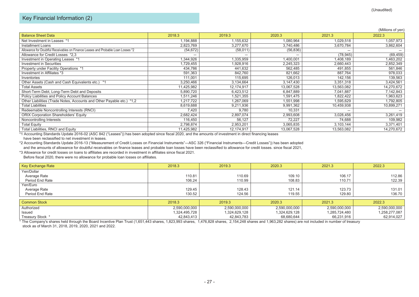#### Key Financial Information (2)

|                                                                                  |            |            |            |            | (Millions of yen) |
|----------------------------------------------------------------------------------|------------|------------|------------|------------|-------------------|
| <b>Balance Sheet Data</b>                                                        | 2018.3     | 2019.3     | 2020.3     | 2021.3     | 2022.3            |
| Net Investment in Leases *1                                                      | 1,194,888  | 1,155,632  | 1,080,964  | 1,029,518  | 1,057,973         |
| Installment Loans                                                                | 2,823,769  | 3,277,670  | 3,740,486  | 3,670,784  | 3,862,604         |
| Allowance for Doubtful Receivables on Finance Leases and Probable Loan Losses *2 | (54, 672)  | (58, 011)  | (56, 836)  |            |                   |
| Allowance for Credit Losses *2.3                                                 |            |            |            | (78, 945)  | (69, 459)         |
| Investment in Operating Leases *1                                                | 1,344,926  | ,335,959   | 1,400,001  | 1,408,189  | 1,463,202         |
| <b>Investment in Securities</b>                                                  | 1,729,455  | 1,928,916  | 2,245,323  | 2,660,443  | 2,852,349         |
| Property under Facility Operations *1                                            | 434,786    | 441,632    | 562,485    | 491,855    | 561,846           |
| Investment in Affiliates *3                                                      | 591,363    | 842,760    | 821,662    | 887,764    | 978,033           |
| Inventories                                                                      | 111,001    | 115,695    | 126,013    | 142,156    | 139,563           |
| Other Assets (Cash and Cash Equivalents etc.) *1                                 | 3,250,466  | 3,134,664  | 3,147,430  | 3,351,318  | 3,424,561         |
| Total Assets                                                                     | 11,425,982 | 12,174,917 | 13,067,528 | 13,563,082 | 14,270,672        |
| Short-Term Debt, Long-Term Debt and Deposits                                     | 5,890,720  | 6,423,512  | 6,847,889  | 7,041,887  | 7,142,843         |
| Policy Liabilities and Policy Account Balances                                   | 1,511,246  | 1,521,355  | 1,591,475  | 1,822,422  | 1,963,623         |
| Other Liabilities (Trade Notes, Accounts and Other Payable etc.) *1,2            | 1,217,722  | 1,267,069  | 1,551,998  | 1,595,629  | 1,792,805         |
| <b>Total Liabilities</b>                                                         | 8,619,688  | 9,211,936  | 9,991,362  | 10,459,938 | 10,899,271        |
| Redeemable Noncontrolling Interests (RNCI)                                       | 7,420      | 9,780      | 10,331     |            |                   |
| <b>ORIX Corporation Shareholders' Equity</b>                                     | 2,682,424  | 2,897,074  | 2,993,608  | 3,028,456  | 3,261,419         |
| Noncontrolling Interests                                                         | 116,450    | 56,127     | 72,227     | 74,688     | 109,982           |
| <b>Total Equity</b>                                                              | 2,798,874  | 2,953,201  | 3,065,835  | 3,103,144  | 3,371,401         |
| Total Liabilities, RNCI and Equity                                               | 11,425,982 | 12,174,917 | 13,067,528 | 13,563,082 | 14,270,672        |

\*1 Accounting Standards Update 2016-02 (ASC 842 ("Leases")) has been adopted since fiscal 2020, and the amounts of investment in direct financing leases have been reclassified to net investment in leases.

\*2 Accounting Standards Update 2016-13 ("Measurement of Credit Losses on Financial Instruments"―ASC 326 ("Financial Instruments―Credit Losses")) has been adopted and the amounts of allowance for doubtful receivables on finance leases and probable loan losses have been reclassified to allowance for credit losses. since fiscal 2021,

\*3 Allowance for credit losses on loans to affiliates are recorded in investment in affiliates since fiscal 2021.

Before fiscal 2020, there were no allowance for probable loan losses on affiliates.

| Key Exchange Rate | 2018.3 | 2019.3 | 2020.3 | 2021.3 | 2022.3 |
|-------------------|--------|--------|--------|--------|--------|
| Yen/Dollar        |        |        |        |        |        |
| Average Rate      | 110.81 | 110.69 | 109.10 | 106.17 | 112.86 |
| Period End Rate   | 106.24 | 110.99 | 108.83 | 110.71 | 122.39 |
| Yen/Euro          |        |        |        |        |        |
| Average Rate      | 129.45 | 128.43 | 121.14 | 123.73 | 131.01 |
| Period End Rate   | 130.52 | 124.56 | 119.55 | 129.80 | 136.70 |

| Common Stock     | 2018.3        | 2019.3        | 2020.3        | 2021.3        | 2022.3        |
|------------------|---------------|---------------|---------------|---------------|---------------|
| Authorized       | 2,590,000,000 | 2,590,000,000 | 2,590,000,000 | 2,590,000,000 | 2,590,000,000 |
| Issued           | 1,324,495,728 | 1,324,629,128 | 1,324,629,128 | 1,285,724,480 | 1,258,277,087 |
| Treasury Stock * | 42,843,413    | 42,843,783    | 68,680,644    | 66,231,916    | 62,914,027    |

\* The Company's shares held through the Board Incentive Plan Trust (1,651,443 shares, 1,823,993 shares, 1,476,828 shares, 2,154,248 shares and 1,963,282 shares) are not included in number of treasury stock as of March 31, 2018, 2019, 2020, 2021 and 2022.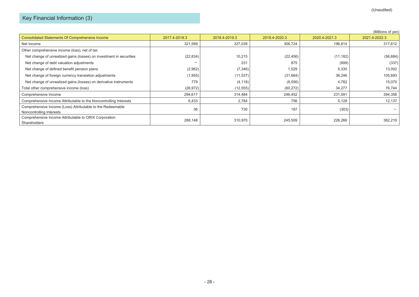|                                                                                        |               |               |               |               | (Millions of yen) |
|----------------------------------------------------------------------------------------|---------------|---------------|---------------|---------------|-------------------|
| <b>Consolidated Statements Of Comprehensive Income</b>                                 | 2017.4-2018.3 | 2018.4-2019.3 | 2019.4-2020.3 | 2020.4-2021.3 | 2021.4-2022.3     |
| Net Income                                                                             | 321,589       | 327,039       | 306,724       | 196,814       | 317,612           |
| Other comprehensive income (loss), net of tax                                          |               |               |               |               |                   |
| Net change of unrealized gains (losses) on investment in securities                    | (22, 834)     | 10,215        | (22, 456)     | (11, 182)     | (56, 684)         |
| Net change of debt valuation adjustments                                               |               | 231           | 875           | (899)         | (337)             |
| Net change of defined benefit pension plans                                            | (2,962)       | (7, 346)      | 1,529         | 5,330         | 13,002            |
| Net change of foreign currency translation adjustments                                 | (1, 955)      | (11, 537)     | (31,664)      | 36,246        | 105,693           |
| Net change of unrealized gains (losses) on derivative instruments                      | 779           | (4, 118)      | (8, 556)      | 4,782         | 15,070            |
| Total other comprehensive income (loss)                                                | (26, 972)     | (12, 555)     | (60, 272)     | 34,277        | 76,744            |
| Comprehensive Income                                                                   | 294,617       | 314,484       | 246,452       | 231,091       | 394,356           |
| Comprehensive Income Attributable to the Noncontrolling Interests                      | 6,433         | 2,784         | 756           | 5,128         | 12,137            |
| Comprehensive Income (Loss) Attributable to the Redeemable<br>Noncontrolling Interests | 36            | 730           | 187           | (303)         |                   |
| Comprehensive Income Attributable to ORIX Corporation<br>Shareholders                  | 288,148       | 310,970       | 245,509       | 226,266       | 382,219           |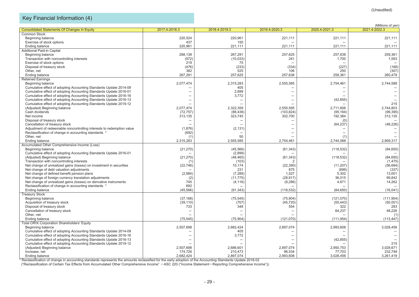# Key Financial Information (4)

|                                                                       |                      |                      |                     |                     | (Millions of yen)        |
|-----------------------------------------------------------------------|----------------------|----------------------|---------------------|---------------------|--------------------------|
| <b>Consolidated Statements Of Changes In Equity</b>                   | 2017.4-2018.3        | 2018.4-2019.3        | 2019.4-2020.3       | 2020.4-2021.3       | 2021.4-2022.3            |
| <b>Common Stock</b>                                                   |                      |                      |                     |                     |                          |
| Beginning balance                                                     | 220,524              | 220,961              | 221,111             | 221,111             | 221,111                  |
| Exercise of stock options                                             | 437                  | 150                  |                     |                     |                          |
| <b>Ending balance</b>                                                 | 220,961              | 221,111              | 221,111             | 221,111             | 221,111                  |
| Additional Paid-in Capital                                            |                      |                      |                     |                     |                          |
| Beginning balance                                                     | 268.138              | 267.291              | 257,625             | 257,638             | 259,361                  |
| Transaction with noncontrolling interests                             | (972)                | (10, 033)            | 241                 | 1,700               | 1,593                    |
| Exercise of stock options                                             | 219                  | 75                   |                     |                     |                          |
| Disposal of treasury stock                                            | (476)                | (233)                | (334)               | (227)               | (168)                    |
| Other, net                                                            | 382                  | 525                  | 106                 | 250                 | (307)                    |
| <b>Ending balance</b>                                                 | 267,291              | 257,625              | 257,638             | 259,361             | 260,479                  |
| <b>Retained Earnings</b>                                              |                      |                      |                     |                     |                          |
| Beginning balance                                                     | 2,077,474            | 2,315,283            | 2,555,585           | 2,754,461           | 2,744,588                |
| Cumulative effect of adopting Accounting Standards Update 2014-09     |                      | 405                  |                     |                     |                          |
| Cumulative effect of adopting Accounting Standards Update 2016-01     |                      | 2,899                |                     |                     | $\qquad \qquad -$        |
| Cumulative effect of adopting Accounting Standards Update 2016-16     |                      | 3,772                |                     |                     |                          |
| Cumulative effect of adopting Accounting Standards Update 2016-13     |                      |                      |                     | (42, 855)           |                          |
|                                                                       |                      |                      |                     |                     | 215                      |
| Cumulative effect of adopting Accounting Standards Update 2019-12     |                      |                      |                     |                     |                          |
| (Adjusted) Beginning balance                                          | 2,077,474            | 2,322,359            | 2,555,585           | 2,711,606           | 2,744,803                |
| Cash dividends                                                        | (72, 757)            | (88, 438)            | (103, 824)          | (95, 164)           | (99, 395)                |
| Net income                                                            | 313,135              | 323,745              | 302,700             | 192,384             | 312,135                  |
| Disposal of treasury stock                                            |                      |                      |                     | (0)                 |                          |
| Cancellation of treasury stock                                        |                      |                      |                     | (64, 237)           | (48, 226)                |
| Adjustment of redeemable noncontrolling interests to redemption value | (1,876)              | (2, 131)             |                     |                     |                          |
| Reclassification of change in accounting standards                    | (692)                |                      |                     |                     | $\overline{\phantom{m}}$ |
| Other, net                                                            | (1)                  | 50                   |                     | (1)                 |                          |
| Ending balance                                                        | 2,315,283            | 2,555,585            | 2,754,461           | 2,744,588           | 2,909,317                |
| Accumulated Other Comprehensive Income (Loss)                         |                      |                      |                     |                     |                          |
| Beginning balance                                                     | (21, 270)            | (45, 566)            | (61, 343)           | (118, 532)          | (84, 650)                |
| Cumulative effect of adopting Accounting Standards Update 2016-01     |                      | (2,899)              |                     |                     |                          |
| (Adjusted) Beginning balance                                          | (21, 270)            | (48, 465)            | (61, 343)           | (118, 532)          | (84, 650)                |
| Transaction with noncontrolling interests                             | (1)                  | (103)                |                     |                     | (1, 475)                 |
| Net change of unrealized gains (losses) on investment in securities   | (22, 746)            | 10,174               | (22, 390)           | (11, 207)           | (56, 684)                |
| Net change of debt valuation adjustments                              |                      | 231                  | 875                 | (899)               | (337)                    |
| Net change of defined benefit pension plans                           | (2,984)              | (7, 289)             | 1,527               | 5,302               | 13,001                   |
| Net change of foreign currency translation adjustments                | (2)                  | (11, 775)            | (28, 917)           | 36,015              | 99,842                   |
| Net change of unrealized gains (losses) on derivative instruments     | 745                  | (4, 116)             | (8, 286)            | 4,671               | 14,262                   |
| Reclassification of change in accounting standards *                  | 692                  |                      |                     |                     |                          |
| <b>Ending balance</b>                                                 | (45, 566)            | (61, 343)            | (118, 532)          | (84, 650)           | (16, 041)                |
| <b>Treasury Stock</b>                                                 |                      |                      |                     |                     |                          |
| Beginning balance                                                     | (37, 168)            | (75, 545)            | (75, 904)           | (121,070)           | (111, 954)               |
| Acquisition of treasury stock                                         | (39, 110)            | (707)                | (45, 720)           | (55, 443)           | (50,001)                 |
| Disposal of treasury stock                                            | 733                  | 348                  | 554                 | 322                 | 283                      |
| Cancellation of treasury stock                                        |                      |                      |                     | 64,237              | 48,226                   |
| Other, net                                                            |                      |                      |                     |                     | (1)                      |
| Ending balance                                                        | (75, 545)            | (75, 904)            | (121,070)           | (111, 954)          | (113, 447)               |
| <b>Total ORIX Corporation Shareholders' Equity</b>                    |                      |                      |                     |                     |                          |
| Beginning balance                                                     | 2,507,698            | 2,682,424            | 2,897,074           | 2,993,608           | 3,028,456                |
| Cumulative effect of adopting Accounting Standards Update 2014-09     |                      | 405                  |                     |                     |                          |
| Cumulative effect of adopting Accounting Standards Update 2016-16     |                      | 3,772                |                     |                     |                          |
| Cumulative effect of adopting Accounting Standards Update 2016-13     |                      |                      |                     | (42, 855)           |                          |
| Cumulative effect of adopting Accounting Standards Update 2019-12     |                      |                      |                     |                     | 215                      |
| (Adjusted) Beginning balance                                          | 2,507,698            | 2,686,601            | 2,897,074           | 2,950,753           | 3,028,671                |
| Increase, net                                                         |                      |                      |                     |                     | 232,748                  |
| Ending balance                                                        | 174,726<br>2,682,424 | 210,473<br>2,897,074 | 96,534<br>2,993,608 | 77,703<br>3,028,456 | 3,261,419                |
|                                                                       |                      |                      |                     |                     |                          |

\* Reclassification of change in accounting standards represents the amounts reclassified for the early adoption of the Accounting Standards Update 2018-02

("Reclassification of Certain Tax Effects from Accumulated Other Comprehensive Income" -ASC 220 ("Income Statement-Reporting Comprehensive Income")).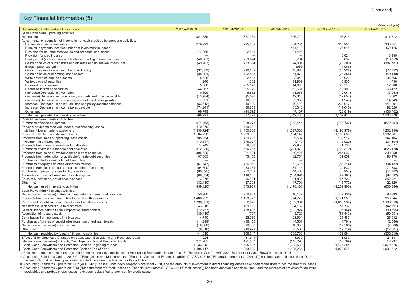# Key Financial Information (5)

|                                                                                   |                            |                          |                          |                            | (Millions of yen)          |
|-----------------------------------------------------------------------------------|----------------------------|--------------------------|--------------------------|----------------------------|----------------------------|
| <b>Consolidated Statements of Cash Flows</b>                                      | 2017.4-2018.3              | 2018.4-2019.3            | 2019.4-2020.3            | 2020.4-2021.3              | 2021.4-2022.3              |
| Cash Flows from Operating Activities:                                             |                            |                          |                          |                            |                            |
| Net income                                                                        | 321.589                    | 327,039                  | 306.724                  | 196.814                    | 317,612                    |
| Adjustments to reconcile net income to net cash provided by operating activities: |                            |                          |                          |                            |                            |
| Depreciation and amortization                                                     | 279,923                    | 295,589                  | 304,204                  | 315.955                    | 330,351                    |
| Principal payments received under net investment in leases                        |                            |                          | 474,110                  | 426,645                    | 462,475                    |
| Provision for doubtful receivables and probable loan losses                       | 17,265                     | 22,525                   | 24,425                   |                            |                            |
| Provision for credit losses                                                       |                            |                          |                          | 16,021                     | 3,939                      |
| Equity in net (income) loss of affiliates (excluding interest on loans)           | (46, 587)                  | (29, 674)                | (65, 764)                | 837                        | (13, 753)                  |
| Gains on sales of subsidiaries and affiliates and liquidation losses, net         | (49, 203)                  | (33, 314)                | (74,001)                 | (23, 300)                  | (187, 787)                 |
| Bargain purchase gain                                                             |                            |                          | (955)                    | (4,966)                    |                            |
| Gains on sales of securities other than trading                                   | (32,083)                   | (10, 182)                | (18, 886)                | (15, 228)                  | (22, 322)                  |
| Gains on sales of operating lease assets                                          | (35, 291)                  | (62, 883)                | (51,072)                 | (26, 358)                  | (40, 148)                  |
| Write-downs of long-lived assets                                                  | 5,525                      | 2,418                    | 3.043                    | 3,020                      | 35,666                     |
| Write-downs of securities                                                         | 1,246                      | 1,382                    | 11,969                   | 5,935                      | 730                        |
| Deferred tax provision                                                            | 5,588                      | (35, 128)                | 14,890                   | 25,518                     | 12,208                     |
| Decrease in trading securities                                                    | 144,367                    | 95,370                   | 63,681                   | 12,103                     | 68,422                     |
| (Increase) Decrease in inventories                                                | 10.609                     | 6,852                    | 11.938                   | (12,061)                   | (7,053)                    |
| (Increase) Decrease in trade notes, accounts and other receivable                 | (13,984)                   | (5, 576)                 | 12,348                   | (12, 657)                  | 3,562                      |
| (Increase) Decrease in trade notes, accounts and other payable                    | 17,831                     | 10,990                   | (3,853)                  | (1,947)                    | 14,943                     |
| Increase (Decrease) in policy liabilities and policy account balances             | (53, 512)                  | 10,109                   | 70,120                   | 230,947                    | 141,201                    |
| Increase (Decrease) in income taxes payable                                       | (74, 241)                  | 36,753                   | (33, 318)                | (11, 045)                  | 92,026                     |
| Other, net                                                                        | 69,749                     | (44, 592)                | (7, 137)                 | (23, 819)                  | (108, 702)                 |
| Net cash provided by operating activities                                         | 568,791                    | 587,678                  | 1,042,466                | 1,102,414                  | 1,103,370                  |
| Cash Flows from Investing Activities:                                             |                            |                          |                          |                            |                            |
| Purchases of lease equipment                                                      | (971, 163)                 | (998, 073)               | (948, 445)               | (716, 737)                 | (872, 994)                 |
|                                                                                   | 470,870                    | 469,262                  |                          |                            |                            |
| Principal payments received under direct financing leases                         |                            |                          |                          |                            |                            |
| Installment loans made to customers<br>Principal collected on installment loans   | (1, 396, 724)<br>1,184,298 | (1,460,336)<br>1,239,385 | (1,527,000)<br>1,134,142 | (1, 198, 978)<br>1,139,608 | (1, 202, 198)<br>1,182,261 |
|                                                                                   |                            |                          |                          |                            |                            |
| Proceeds from sales of operating lease assets                                     | 285,954                    | 429,295                  | 339,504                  | 138,912                    | 147,104                    |
| Investment in affiliates, net                                                     | (110, 547)                 | (278, 027)               | (44, 140)                | (112, 922)                 | (34, 804)                  |
| Proceeds from sales of investment in affiliates                                   | 74,742                     | 56,423                   | 79,950                   | 41,730                     | 47,677                     |
| Purchases of available-for-sale debt securities                                   | (372, 236)                 | (556, 213)               | (711, 973)               | (709, 349)                 | (526, 478)                 |
| Proceeds from sales of available-for-sale debt securities                         | 395,629                    | 221,824                  | 249,427                  | 285,836                    | 239,250                    |
| Proceeds from redemption of available-for-sale debt securities                    | 97,565                     | 73,156                   | 82,754                   | 31,859                     | 90,478                     |
| Purchases of held-to-maturity debt securities                                     |                            |                          |                          |                            |                            |
| Purchases of equity securities other than trading                                 | (67, 147)                  | (66, 959)                | (53, 616)                | (56, 314)                  | (94, 182)                  |
| Proceeds from sales of equity securities other than trading                       | 104,600                    | 83,261                   | 34,145                   | 30,532                     | 71,883                     |
| Purchases of property under facility operations                                   | (80,095)                   | (62, 221)                | (44, 466)                | (43, 954)                  | (44, 302)                  |
| Acquisitions of subsidiaries, net of cash acquired                                | (66, 034)                  | (119, 105)               | (134, 894)               | (82, 163)                  | (87, 582)                  |
| Sales of subsidiaries, net of cash disposed                                       | 43,278                     | 56,584                   | 91,835                   | 57,722                     | 252,921                    |
| Other, net                                                                        | (32, 110)                  | 37,793                   | (17, 709)                | (15, 772)                  | 22,120                     |
| Net cash used in investing activities                                             | (439, 120)                 | (873, 951)               | (1,470,486)              | (1,209,990)                | (808, 846)                 |
| Cash Flows from Financing Activities:                                             |                            |                          |                          |                            |                            |
| Net increase (decrease) in debt with maturities of three months or less           | 50,900                     | (50, 881)                | 16,182                   | (42, 136)                  | 96,383                     |
| Proceeds from debt with maturities longer than three months                       | 1,488,259                  | 1,123,923                | 924,779                  | 1,171,350                  | 950,244                    |
| Repayment of debt with maturities longer than three months                        | (1,396,531)                | (932, 676)               | (832, 881)               | (1,013,937)                | (1, 160, 613)              |
| Net increase in deposits due to customers                                         | 143,318                    | 169,830                  | 304,182                  | 85,737                     | (42, 591)                  |
| Cash dividends paid to ORIX Corporation shareholders                              | (72, 757)                  | (88, 438)                | (103, 824)               | (95, 164)                  | (99, 395)                  |
| Acquisition of treasury stock                                                     | (39, 110)                  | (707)                    | (45, 720)                | (55, 443)                  | (50,001)                   |
| Contribution from noncontrolling interests                                        | 4,740                      | 22,760                   | 23,994                   | 24,487                     | 25,942                     |
| Purchases of shares of subsidiaries from noncontrolling interests                 | (11, 299)                  | (86, 165)                | (4, 501)                 | (4,791)                    | (2,086)                    |
|                                                                                   |                            |                          |                          |                            |                            |
| Net increase (decrease) in call money                                             | (18,000)                   | 20,000                   | 10,000                   | (17,500)                   | (7,500)                    |
| Other, net                                                                        | (8, 510)                   | (10, 999)                | (3,508)                  | (12, 719)                  | (17,001)                   |
| Net cash provided by (used in) financing activities                               | 141,010                    | 166,647                  | 288,703                  | 39.884                     | (306, 618)                 |
| Effect of Exchange Rate Changes on Cash, Cash Equivalents and Restricted Cash     | 1,224                      | (1, 911)                 | (8,979)                  | 11,983                     | 24,331                     |
| Net Increase (decrease) in Cash, Cash Equivalents and Restricted Cash             | 271,905                    | (121, 537)               | (148, 296)               | (55, 709)                  | 12,237                     |
| Cash, Cash Equivalents and Restricted Cash at Beginning of Year                   | 1,133,212                  | 1,405,117                | 1,283,580                | 1,135,284                  | 1,079,575                  |
| Cash, Cash Equivalents and Restricted Cash at End of Year                         | 1,405,117                  | 1,283,580                | 1,135,284                | 1,079,575                  | 1,091,812                  |

※ Prior-year amounts have been adjusted for the retrospective application of Accounting Standards Update 2016-18 ("Restricted Cash"—ASC 230 ("Statement of Cash Flows")) in fiscal 2019.

※ Accounting Standards Update 2016-01 ("Recognition and Measurement of Financial Assets and Financial Liabilities"—ASC 825-10 ("Financial Instruments—Overall")) has been adopted since fiscal 2019. The amounts that had been previously reported have been reclassified for this adoption.

※ Accounting Standards Update 2016-02 (ASC 842 ("Leases")) has been adopted since fiscal 2020, and the amounts of investment in direct financing leases have been reclassified to net investment in leases.<br>※ Accounting Stan

receivables and probable loan losses have been reclassified to provision for credit losses.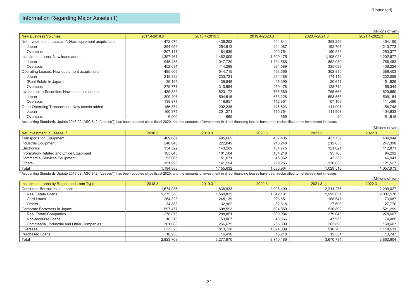$(Millions of you)$ 

 $(M)$ illions of  $y$ en)

Information Regarding Major Assets (1)

|                                                        |               |               |               |               | (Millions of yen) |
|--------------------------------------------------------|---------------|---------------|---------------|---------------|-------------------|
| <b>New Business Volumes</b>                            | 2017.4-2018.3 | 2018.4-2019.3 | 2019.4-2020.3 | 2020.4-2021.3 | 2021.4-2022.3     |
| Net Investment in Leases *: New equipment acquisitions | 472,070       | 439,252       | 444,841       | 353,256       | 464,150           |
| Japan                                                  | 264,953       | 254,613       | 244,087       | 192,708       | 210,773           |
| Overseas                                               | 207,117       | 184,639       | 200,754       | 160,548       | 253,377           |
| Installment Loans: New loans added                     | 1,397,467     | 1,462,009     | 1,529,175     | 1,198,028     | 1,202,677         |
| Japan                                                  | 945,436       | 1,047,720     | 1,134,586     | 862,930       | 766,453           |
| Overseas                                               | 452,031       | 414,289       | 394,589       | 335,098       | 436,224           |
| Operating Leases: New equipment acquisitions           | 495,609       | 544,715       | 493,666       | 302,835       | 388,403           |
| Japan                                                  | 215,832       | 233,721       | 234,188       | 174,116       | 232,059           |
| (Real Estate in Japan)                                 | 39,195        | 39,848        | 45,399        | 20,641        | 51,826            |
| Overseas                                               | 279,777       | 310,994       | 259,478       | 128,719       | 156,344           |
| Investment in Securities: New securities added         | 439,383       | 623,172       | 765,589       | 765,663       | 620,660           |
| Japan                                                  | 300,406       | 504,515       | 653,228       | 698,555       | 509,164           |
| Overseas                                               | 138.977       | 118,657       | 112,361       | 67,108        | 111,496           |
| Other Operating Transactions: New assets added         | 166,371       | 202,236       | 116,623       | 111,997       | 156,748           |
| Japan                                                  | 160,371       | 201,271       | 115,754       | 111,907       | 104,933           |
| Overseas                                               | 6,000         | 965           | 869           | 90            | 51,815            |

\* Accounting Standards Update 2016-02 (ASC 842 ("Leases")) has been adopted since fiscal 2020, and the amounts of investment in direct financing leases have been reclassified to net investment in leases.

|                                          |           |           |           |           | ן ויסע וט פווטוווען ( |
|------------------------------------------|-----------|-----------|-----------|-----------|-----------------------|
| Net Investment in Leases *               | 2018.3    | 2019.3    | 2020.3    | 2021.3    | 2022.3                |
| <b>Transportation Equipment</b>          | 489,687   | 495,605   | 457.405   | 437,759   | 434,944               |
| Industrial Equipment                     | 240,646   | 222,049   | 210,248   | 212,655   | 247,398               |
| Electronics                              | 154,522   | 143,209   | 134,775   | 121,021   | 112,871               |
| Information-Related and Office Equipment | 105,040   | 101.504   | 104,218   | 95,708    | 94,292                |
| <b>Commercial Services Equipment</b>     | 53,065    | 51,671    | 45,062    | 42,339    | 46,941                |
| Others                                   | 151,928   | 141.594   | 129,256   | 120,036   | 121,527               |
| Total                                    | 1,194,888 | 1,155,632 | 1,080,964 | 1,029,518 | 1,057,973             |

\* Accounting Standards Update 2016-02 (ASC 842 ("Leases")) has been adopted since fiscal 2020, and the amounts of investment in direct financing leases have been reclassified to net investment in leases.

|                                            |           |           |           |           | ן ועווווטווא טו עפוון |
|--------------------------------------------|-----------|-----------|-----------|-----------|-----------------------|
| Installment Loans by Region and Loan Type  | 2018.3    | 2019.3    | 2020.3    | 2021.3    | 2022.3                |
| Consumer Borrowers in Japan:               | 1.674.036 | 1.838.933 | 2,098,400 | 2,211,276 | 2,209,027             |
| Real Estate Loans                          | 1.375.380 | 1,560,832 | 1,842,131 | 1,995,031 | 2,007,570             |
| Card Loans                                 | 264,323   | 245,139   | 223,651   | 188,547   | 173,687               |
| Others                                     | 34,333    | 32,962    | 32,618    | 27,698    | 27,770                |
| Corporate Borrowers in Japan:              | 597.477   | 608,593   | 604,859   | 530,892   | 521,299               |
| Real Estate Companies                      | 278.076   | 288,851   | 300,984   | 279,046   | 278,607               |
| Non-recourse Loans                         | 18.318    | 53,067    | 48,566    | 47,956    | 74,085                |
| Commercial, Industrial and Other Companies | 301,083   | 266,675   | 255,309   | 203,890   | 168,607               |
| Overseas:                                  | 533,323   | 813,728   | 1.024.009 | 916,265   | 1,118,531             |
| <b>Purchased Loans</b>                     | 18,933    | 16.416    | 13.218    | 12.351    | 13,747                |
| Total                                      | 2,823,769 | 3,277,670 | 3,740,486 | 3,670,784 | 3,862,604             |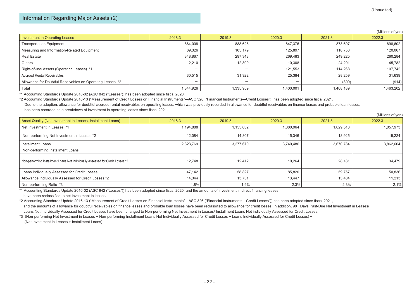#### Information Regarding Major Assets (2)

|                                                           |                          |                          |                          |           | (Millions of yen) |
|-----------------------------------------------------------|--------------------------|--------------------------|--------------------------|-----------|-------------------|
| <b>Investment in Operating Leases</b>                     | 2018.3                   | 2019.3                   | 2020.3                   | 2021.3    | 2022.3            |
| <b>Transportation Equipment</b>                           | 864,008                  | 888,625                  | 847,376                  | 873,697   | 898,602           |
| Measuring and Information-Related Equipment               | 89,326                   | 105,179                  | 125,897                  | 118.758   | 120,067           |
| <b>Real Estate</b>                                        | 348,867                  | 297,343                  | 269,483                  | 249,225   | 260,284           |
| Others                                                    | 12,210                   | 12,890                   | 10,308                   | 24,291    | 45,782            |
| Right-of-use Assets (Operating Leases) *1                 | $\overline{\phantom{0}}$ | $\overline{\phantom{0}}$ | 121,553                  | 114,268   | 107,742           |
| <b>Accrued Rental Receivables</b>                         | 30,515                   | 31,922                   | 25,384                   | 28,259    | 31,639            |
| Allowance for Doubtful Receivables on Operating Leases *2 | $\overline{\phantom{0}}$ | $\overline{\phantom{0}}$ | $\overline{\phantom{0}}$ | (309)     | (914)             |
| Total                                                     | 1,344,926                | 1,335,959                | 1,400,001                | 1,408,189 | 1,463,202         |

\*1 Accounting Standards Update 2016-02 (ASC 842 ("Leases")) has been adopted since fiscal 2020.

\*2 Accounting Standards Update 2016-13 ("Measurement of Credit Losses on Financial Instruments"—ASC 326 ("Financial Instruments—Credit Losses")) has been adopted since fiscal 2021.

Due to the adoption, allowance for doubtful accrued rental receivables on operating leases, which was previously recorded in allowance for doubtful receivables on finance leases and probable loan losses, has been recorded as a breakdown of investment in operating leases since fiscal 2021.

|                                                                                 |           |           |           |           | (Millions of yen) |
|---------------------------------------------------------------------------------|-----------|-----------|-----------|-----------|-------------------|
| Asset Quality (Net Investment in Leases, Installment Loans)                     | 2018.3    | 2019.3    | 2020.3    | 2021.3    | 2022.3            |
| Net Investment in Leases *1                                                     | 1,194,888 | 1,155,632 | 1,080,964 | 1,029,518 | 1,057,973         |
| Non-performing Net Investment in Leases *2                                      | 12.084    | 14,807    | 15.346    | 18,925    | 19,224            |
| Installment Loans                                                               | 2,823,769 | 3,277,670 | 3,740,486 | 3,670,784 | 3,862,604         |
| Non-performing Installment Loans                                                |           |           |           |           |                   |
| Non-performing Installment Loans Not Individually Assessed for Credit Losses *2 | 12,748    | 12,412    | 10,264    | 28,181    | 34,479            |
| Loans Individually Assessed for Credit Losses                                   | 47,142    | 58,827    | 85,820    | 59,757    | 50,836            |
| Allowance Individually Assessed for Credit Losses *2                            | 14,344    | 13,731    | 13,447    | 13,404    | 11,213            |
| Non-performing Ratio *3                                                         | 1.8%      | 1.9%      | 2.3%      | 2.3%      | 2.1%              |

\*1 Accounting Standards Update 2016-02 (ASC 842 ("Leases")) has been adopted since fiscal 2020, and the amounts of investment in direct financing leases have been reclassified to net investment in leases.

\*2 Accounting Standards Update 2016-13 ("Measurement of Credit Losses on Financial Instruments"―ASC 326 ("Financial Instruments―Credit Losses")) has been adopted since fiscal 2021, and the amounts of allowance for doubtful receivables on finance leases and probable loan losses have been reclassified to allowance for credit losses. In addition, 90+ Days Past-Due Net Investment in Leases/ Loans Not Individually Assessed for Credit Losses have been changed to Non-performing Net Investment in Leases/ Installment Loans Not individually Assessed for Credit Losses.

\*3 (Non-performing Net Investment in Leases + Non-performing Installment Loans Not Individually Assessed for Credit Losses + Loans Individually Assessed for Credit Losses) ÷ (Net Investment in Leases + Installment Loans)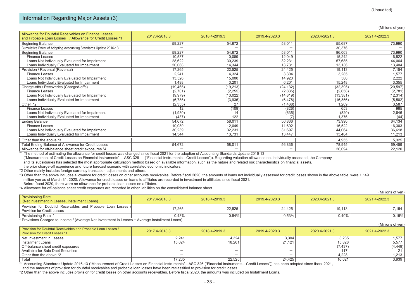#### Information Regarding Major Assets (3)

| (Millions of yen) |  |
|-------------------|--|
|                   |  |

 $\lambda$  (Millions of years).

| 2021.4-2022.3 |
|---------------|
| 73,990        |
|               |
| 73,990        |
| 16,522        |
| 44,064        |
| 13,404        |
| 7,154         |
| 1,577         |
| 2,222         |
| 3,355         |
| (20, 597)     |
| (2,781)       |
| (12, 314)     |
| (5,502)       |
| 3,587         |
| 985           |
| 2,646         |
| (44)          |
| 64,134        |
| 16,303        |
| 36,618        |
| 11,213        |
| 5,325         |
| 69,459        |
| 22,120        |
|               |

\*1 The method of estimating the allowance for credit losses was changed since fiscal 2021 for the adoption of Accounting Standards Update 2016-13

("Measurement of Credit Losses on Financial Instruments" ―ASC 326 ("Financial Instruments―Credit Losses")). Regarding valuation allowance not individually assessed, the Company

and its subsidiaries has selected the most appropriate calculation method based on available information, such as the nature and related risk characteristics on financial assets.

the prior charge-off experience and future forecast scenario with correlated economic indicators.

\*2 Other mainly includes foreign currency translation adjustments and others.

\*3 Other than the above includes allowance for credit losses on other accounts receivables. Before fiscal 2020, the amounts of loans not individually assessed for credit losses shown in the above table, were 1,149 million yen as of March 31, 2020. Allowance for credit losses on loans to affiliates are recorded in investment in affiliates since fiscal 2021. Before fiscal 2020, there were no allowance for probable loan losses on affiliates.

\*4 Allowance for off-balance sheet credit exposures are recorded in other liabilities on the consolidated balance sheet.

|                                                                                              |               |               |               |               | (Millions of yen) |
|----------------------------------------------------------------------------------------------|---------------|---------------|---------------|---------------|-------------------|
| <b>Provisioning Rate</b><br>(Net investment in Leases, Installment Loans)                    | 2017.4-2018.3 | 2018.4-2019.3 | 2019.4-2020.3 | 2020.4-2021.3 | 2021.4-2022.3     |
| Provision for Doubtful Receivables and Probable Loan Losses /<br>Provision for Credit Losses | 17,265        | 22,525        | 24,425        | 19,113        | 7,154             |
| Provisioning Rate *<br>$\overline{\phantom{a}}$<br>.                                         | 0.43%<br>.    | 0.54%         | 0.53%         | 0.40%         | 0.15%             |

\* Provisions Charged to Income / (Average Net Investment in Leases + Average Installment Loans)

|                                                                                                 |               |               |                          |               | (IVIIIIIOITIS OF YELL) |
|-------------------------------------------------------------------------------------------------|---------------|---------------|--------------------------|---------------|------------------------|
| Provision for Doubtful Receivables and Probable Loan Losses /<br>Provision for Credit Losses *1 | 2017.4-2018.3 | 2018.4-2019.3 | 2019.4-2020.3            | 2020.4-2021.3 | 2021.4-2022.3          |
| Net Investment in Leases                                                                        | 2,24          | 4,324         | 3,304                    | 3,285         | 1,577                  |
| ∣ Installment Loans                                                                             | 15,024        | 18.201        | 21,121                   | 15,828        | 5,577                  |
| Off-balance sheet credit exposures                                                              |               | -             | $\overline{\phantom{0}}$ | (7, 437)      | (4, 449)               |
| Available-for-Sale Debt Securities                                                              | -             | -             | -                        |               |                        |
| 1 Other than the above *2                                                                       | -             | -             | $\overline{\phantom{0}}$ | 4.228         | 1,213                  |
| Total                                                                                           | 17,265        | 22,525        | 24,425                   | 16,021        | 3,939                  |

\*1 Accounting Standards Update 2016-13 ("Measurement of Credit Losses on Financial Instruments"―ASC 326 ("Financial Instruments―Credit Losses")) has been adopted since fiscal 2021,

and the amounts of provision for doubtful receivables and probable loan losses have been reclassified to provision for credit losses.

\*2 Other than the above includes provision for credit losses on other accounts receivables. Before fiscal 2020, the amounts was included on Installment Loans.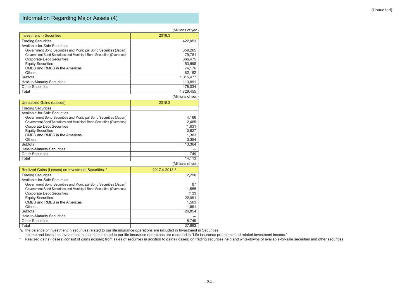# Information Regarding Major Assets (4)

|                                                                     | (Millions of yen) |
|---------------------------------------------------------------------|-------------------|
| <b>Investment in Securities</b>                                     | 2018.3            |
| <b>Trading Securities</b>                                           | 422.053           |
| Available-for-Sale Securities                                       |                   |
| Government Bond Securities and Municipal Bond Securities (Japan)    | 359,265           |
| Government Bond Securities and Municipal Bond Securities (Overseas) | 79.781            |
| <b>Corporate Debt Securities</b>                                    | 366.475           |
| <b>Equity Securities</b>                                            | 53.598            |
| CMBS and RMBS in the Americas                                       | 74,176            |
| Others                                                              | 82,182            |
| Subtotal                                                            | 1,015,477         |
| <b>Held-to-Maturity Securities</b>                                  | 113.891           |
| <b>Other Securities</b>                                             | 178,034           |
| Total                                                               | 1.729.455         |
|                                                                     | (Millions of ven) |

| <b>Unrealized Gains (Losses)</b>                                    | 2018.3            |
|---------------------------------------------------------------------|-------------------|
| <b>Trading Securities</b>                                           |                   |
| Available-for-Sale Securities                                       |                   |
| Government Bond Securities and Municipal Bond Securities (Japan)    | 4,166             |
| Government Bond Securities and Municipal Bond Securities (Overseas) | 2,465             |
| <b>Corporate Debt Securities</b>                                    | (1,631)           |
| <b>Equity Securities</b>                                            | 3.627             |
| CMBS and RMBS in the Americas                                       | 1,383             |
| <b>Others</b>                                                       | 3,354             |
| Subtotal                                                            | 13.364            |
| <b>Held-to-Maturity Securities</b>                                  |                   |
| <b>Other Securities</b>                                             | 749               |
| Total                                                               | 14.113            |
|                                                                     | (Millions of ven) |

| Realized Gains (Losses) on Investment Securities *                  | 2017.4-2018.3 |
|---------------------------------------------------------------------|---------------|
| <b>Trading Securities</b>                                           | 2,290         |
| Available-for-Sale Securities                                       |               |
| Government Bond Securities and Municipal Bond Securities (Japan)    | 87            |
| Government Bond Securities and Municipal Bond Securities (Overseas) | 1,555         |
| <b>Corporate Debt Securities</b>                                    | (133)         |
| <b>Equity Securities</b>                                            | 22,091        |
| CMBS and RMBS in the Americas                                       | 1,563         |
| Others                                                              | 1,691         |
| Subtotal                                                            | 26,854        |
| <b>Held-to-Maturity Securities</b>                                  |               |
| <b>Other Securities</b>                                             | 8,749         |
| Total                                                               | 37.893        |

※ The balance of investment in securities related to our life insurance operations are included in Investment in Securities.

Income and losses on investment in securities related to our life insurance operations are recorded in "Life insurance premiums and related investment income."

\* Realized gains (losses) consist of gains (losses) from sales of securities in addition to gains (losses) on trading securities held and write-downs of available-for-sale securities and other securities.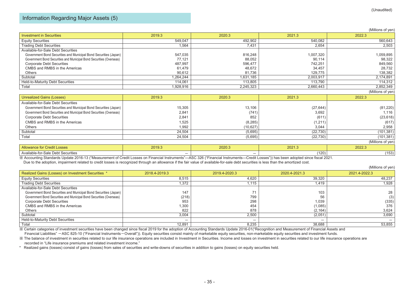#### Information Regarding Major Assets (5)

|                                                                     |           |           |           | (Millions of yen) |
|---------------------------------------------------------------------|-----------|-----------|-----------|-------------------|
| <b>Investment in Securities</b>                                     | 2019.3    | 2020.3    | 2021.3    | 2022.3            |
| <b>Equity Securities</b>                                            | 549.047   | 492,902   | 540.082   | 560,643           |
| <b>Trading Debt Securities</b>                                      | 1,564     | 7,431     | 2,654     | 2,503             |
| Available-for-Sale Debt Securities                                  |           |           |           |                   |
| Government Bond Securities and Municipal Bond Securities (Japan)    | 547,035   | 816,248   | 1,007,320 | 1,059,895         |
| Government Bond Securities and Municipal Bond Securities (Overseas) | 77,121    | 88,052    | 90,114    | 98,322            |
| <b>Corporate Debt Securities</b>                                    | 487,997   | 596,477   | 742,251   | 849,560           |
| CMBS and RMBS in the Americas                                       | 61,479    | 48,672    | 34,457    | 28,732            |
| Others                                                              | 90,612    | 81,736    | 129,775   | 138,382           |
| Subtotal                                                            | 1,264,244 | 1,631,185 | 2,003,917 | 2,174,891         |
| <b>Held-to-Maturity Debt Securities</b>                             | 114,061   | 113.805   | 113,790   | 114,312           |
| Total                                                               | 1,928,916 | 2,245,323 | 2,660,443 | 2,852,349         |
|                                                                     |           |           |           | (Millions of yen) |
| Unrealized Gains (Losses)                                           | 2019.3    | 2020.3    | 2021.3    | 2022.3            |
| Available-for-Sale Debt Securities                                  |           |           |           |                   |
| Government Bond Securities and Municipal Bond Securities (Japan)    | 15,305    | 13,106    | (27, 644) | (81, 220)         |
| Government Bond Securities and Municipal Bond Securities (Overseas) | 2,841     | (741)     | 3,692     | 1,116             |
| <b>Corporate Debt Securities</b>                                    | 2,841     | 852       | (611)     | (23, 618)         |
| CMBS and RMBS in the Americas                                       | 1,525     | (8, 285)  | (1,211)   | (617)             |

| Others                             | 1,992  | (10,627)                 | 3,044     | 2,958             |
|------------------------------------|--------|--------------------------|-----------|-------------------|
| Subtotal                           | 24,504 | (5,695)                  | (22, 730) | (101, 381)        |
| Total                              | 24,504 | (5,695)                  | (22, 730) | (101, 381)        |
|                                    |        |                          |           | (Millions of yen) |
| <b>Allowance for Credit Losses</b> | 2019.3 | 2020.3                   | 2021.3    | 2022.3            |
| Available-for-Sale Debt Securities | -      | $\overline{\phantom{0}}$ | (120)     | (153)             |

※ Accounting Standards Update 2016-13 ("Measurement of Credit Losses on Financial Instruments"—ASC 326 ("Financial Instruments—Credit Losses")) has been adopted since fiscal 2021.

Due to the adoption, impairment related to credit losses is recognized through an allowance if the fair value of available-for-sale debt securities is less than the amortized cost.

|                                                                     |                          |                          |               | (Millions of yen) |
|---------------------------------------------------------------------|--------------------------|--------------------------|---------------|-------------------|
| Realized Gains (Losses) on Investment Securities *                  | 2018.4-2019.3            | 2019.4-2020.3            | 2020.4-2021.3 | 2021.4-2022.3     |
| <b>Equity Securities</b>                                            | 8,515                    | 4,620                    | 39,320        | 48,237            |
| <b>Trading Debt Securities</b>                                      | 1,372                    | 1,115                    | 1,419         | 1,928             |
| Available-for-Sale Debt Securities                                  |                          |                          |               |                   |
| Government Bond Securities and Municipal Bond Securities (Japan)    | 147                      | 71                       | 103           | 28                |
| Government Bond Securities and Municipal Bond Securities (Overseas) | (218)                    | 799                      | 56            | (3)               |
| <b>Corporate Debt Securities</b>                                    | 953                      | 298                      | 1,039         | (335)             |
| CMBS and RMBS in the Americas                                       | 1,300                    | 454                      | (1,085)       | 376               |
| Others                                                              | 822                      | 878                      | (2, 164)      | 3,624             |
| Subtotal                                                            | 3,004                    | 2,500                    | (2,051)       | 3,690             |
| Held-to-Maturity Debt Securities                                    | $\overline{\phantom{a}}$ | $\overline{\phantom{a}}$ | -             |                   |
| Total                                                               | 12,891                   | 8,235                    | 38,688        | 53,855            |

※ Certain categories of investment securities have been changed since fiscal 2019 for the adoption of Accounting Standards Update 2016-01("Recognition and Measurement of Financial Assets and Financial Liabilities" -ASC 825-10 ("Financial Instruments-Overall")). Equity securities consist mainly of marketable equity securities, non-marketable equity securities and investment funds.

※ The balance of investment in securities related to our life insurance operations are included in Investment in Securities. Income and losses on investment in securities related to our life insurance operations are recorded in "Life insurance premiums and related investment income."

\* Realized gains (losses) consist of gains (losses) from sales of securities and write-downs of securities in addition to gains (losses) on equity securities held.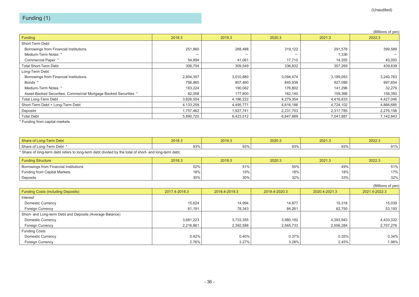# Funding (1)

|                                                                  |           |           |           |           | (Millions of yen) |
|------------------------------------------------------------------|-----------|-----------|-----------|-----------|-------------------|
| Funding                                                          | 2018.3    | 2019.3    | 2020.3    | 2021.3    | 2022.3            |
| Short-Term Debt                                                  |           |           |           |           |                   |
| Borrowings from Financial Institutions                           | 251,860   | 268,488   | 319,122   | 291,578   | 399,589           |
| Medium-Term Notes *                                              |           | -         | -         | 1,336     |                   |
| Commercial Paper *                                               | 54,894    | 41,061    | 17,710    | 14,355    | 40,050            |
| <b>Total Short-Term Debt</b>                                     | 306,754   | 309,549   | 336,832   | 307,269   | 439,639           |
| Long-Term Debt                                                   |           |           |           |           |                   |
| Borrowings from Financial Institutions                           | 2,804,357 | 3,010,880 | 3,094,474 | 3,189,083 | 3,240,763         |
| Bonds *                                                          | 756,865   | 807,460   | 845,938   | 927,088   | 997,654           |
| Medium-Term Notes *                                              | 183,224   | 190,082   | 176,802   | 141,296   | 32,279            |
| Asset-Backed Securities, Commercial Mortgage Backed Securities * | 82,058    | 177,800   | 162,140   | 159,366   | 156,350           |
| Total Long-Term Debt                                             | 3,826,504 | 4,186,222 | 4,279,354 | 4,416,833 | 4,427,046         |
| Short-Term Debt + Long-Term Debt                                 | 4,133,258 | 4,495,771 | 4,616,186 | 4,724,102 | 4,866,685         |
| Deposits                                                         | 1,757,462 | 1,927,741 | 2,231,703 | 2,317,785 | 2,276,158         |
| <b>Total Debt</b>                                                | 5,890,720 | 6,423,512 | 6,847,889 | 7,041,887 | 7,142,843         |

\* Funding from capital markets.

| Share of Long-Term Debt            | 2018.3                          | 2019.3 | 2020.3 | 2021.3 | 2022.3 |
|------------------------------------|---------------------------------|--------|--------|--------|--------|
| <b>Term Debt</b><br>Share of Long- | $\sim$ $\sim$<br>יט גינ<br>JJ / | 93%    | 93%    | 93%    | 0.10   |

\* Share of long-term debt refers to long-term debt divided by the total of short- and long-term debt.

| <b>Funding Structure</b>                            | 2018.3 | 2019.3 | 2020.3 | 2021.3 | 2022.3 |
|-----------------------------------------------------|--------|--------|--------|--------|--------|
| <sup>1</sup> Borrowings from Financial Institutions | 52%    | 51%    | 50%    | 49%    | 51%    |
| <b>Funding from Capital Markets</b>                 | 18%    | 19%    | 18%    | 18%    | 17%    |
| Deposits                                            | 30%    | 30%    | 32%    | 33%    | 32%    |

|                                                          |               |               |               |               | (Millions of yen) |
|----------------------------------------------------------|---------------|---------------|---------------|---------------|-------------------|
| <b>Funding Costs (including Deposits)</b>                | 2017.4-2018.3 | 2018.4-2019.3 | 2019.4-2020.3 | 2020.4-2021.3 | 2021.4-2022.3     |
| Interest                                                 |               |               |               |               |                   |
| <b>Domestic Currency</b>                                 | 15,624        | 14,994        | 14,877        | 15,318        | 15,039            |
| Foreign Currency                                         | 61,191        | 78.343        | 84,261        | 62,750        | 53,193            |
| Short- and Long-term Debt and Deposits (Average Balance) |               |               |               |               |                   |
| <b>Domestic Currency</b>                                 | 3,681,223     | 3,733,355     | 3,980,192     | 4,393,943     | 4,433,332         |
| <b>Foreign Currency</b>                                  | 2,216,861     | 2,392,588     | 2,565,733     | 2,556,284     | 2,707,276         |
| <b>Funding Costs</b>                                     |               |               |               |               |                   |
| <b>Domestic Currency</b>                                 | 0.42%         | 0.40%         | 0.37%         | 0.35%         | 0.34%             |
| <b>Foreign Currency</b>                                  | 2.76%         | 3.27%         | 3.28%         | 2.45%         | 1.96%             |